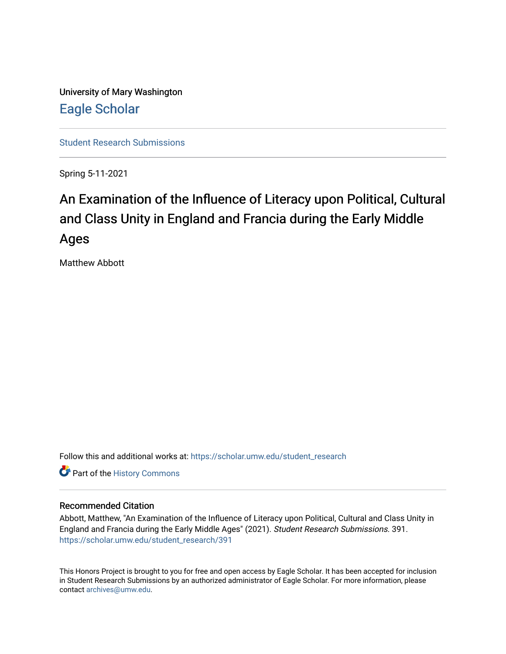University of Mary Washington [Eagle Scholar](https://scholar.umw.edu/) 

[Student Research Submissions](https://scholar.umw.edu/student_research) 

Spring 5-11-2021

# An Examination of the Influence of Literacy upon Political, Cultural and Class Unity in England and Francia during the Early Middle Ages

Matthew Abbott

Follow this and additional works at: [https://scholar.umw.edu/student\\_research](https://scholar.umw.edu/student_research?utm_source=scholar.umw.edu%2Fstudent_research%2F391&utm_medium=PDF&utm_campaign=PDFCoverPages)

**P** Part of the History Commons

## Recommended Citation

Abbott, Matthew, "An Examination of the Influence of Literacy upon Political, Cultural and Class Unity in England and Francia during the Early Middle Ages" (2021). Student Research Submissions. 391. [https://scholar.umw.edu/student\\_research/391](https://scholar.umw.edu/student_research/391?utm_source=scholar.umw.edu%2Fstudent_research%2F391&utm_medium=PDF&utm_campaign=PDFCoverPages)

This Honors Project is brought to you for free and open access by Eagle Scholar. It has been accepted for inclusion in Student Research Submissions by an authorized administrator of Eagle Scholar. For more information, please contact [archives@umw.edu](mailto:archives@umw.edu).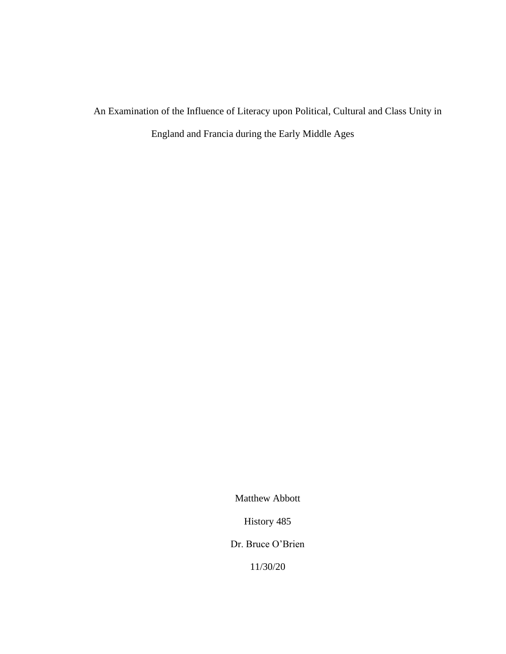An Examination of the Influence of Literacy upon Political, Cultural and Class Unity in England and Francia during the Early Middle Ages

Matthew Abbott

History 485

Dr. Bruce O'Brien

11/30/20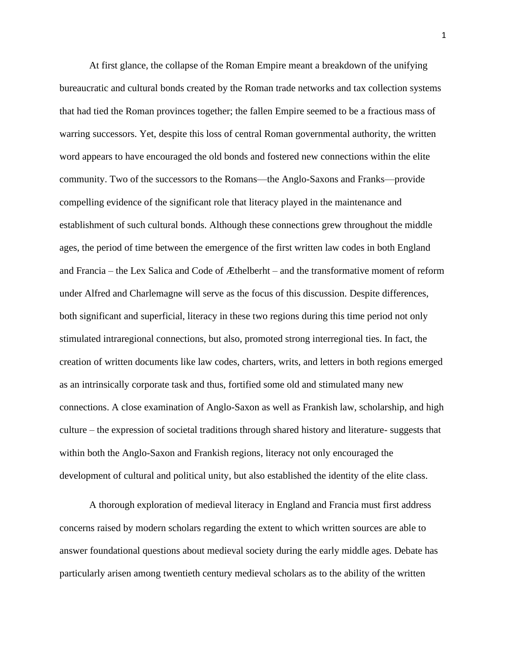At first glance, the collapse of the Roman Empire meant a breakdown of the unifying bureaucratic and cultural bonds created by the Roman trade networks and tax collection systems that had tied the Roman provinces together; the fallen Empire seemed to be a fractious mass of warring successors. Yet, despite this loss of central Roman governmental authority, the written word appears to have encouraged the old bonds and fostered new connections within the elite community. Two of the successors to the Romans—the Anglo-Saxons and Franks—provide compelling evidence of the significant role that literacy played in the maintenance and establishment of such cultural bonds. Although these connections grew throughout the middle ages, the period of time between the emergence of the first written law codes in both England and Francia – the Lex Salica and Code of Æthelberht – and the transformative moment of reform under Alfred and Charlemagne will serve as the focus of this discussion. Despite differences, both significant and superficial, literacy in these two regions during this time period not only stimulated intraregional connections, but also, promoted strong interregional ties. In fact, the creation of written documents like law codes, charters, writs, and letters in both regions emerged as an intrinsically corporate task and thus, fortified some old and stimulated many new connections. A close examination of Anglo-Saxon as well as Frankish law, scholarship, and high culture – the expression of societal traditions through shared history and literature- suggests that within both the Anglo-Saxon and Frankish regions, literacy not only encouraged the development of cultural and political unity, but also established the identity of the elite class.

A thorough exploration of medieval literacy in England and Francia must first address concerns raised by modern scholars regarding the extent to which written sources are able to answer foundational questions about medieval society during the early middle ages. Debate has particularly arisen among twentieth century medieval scholars as to the ability of the written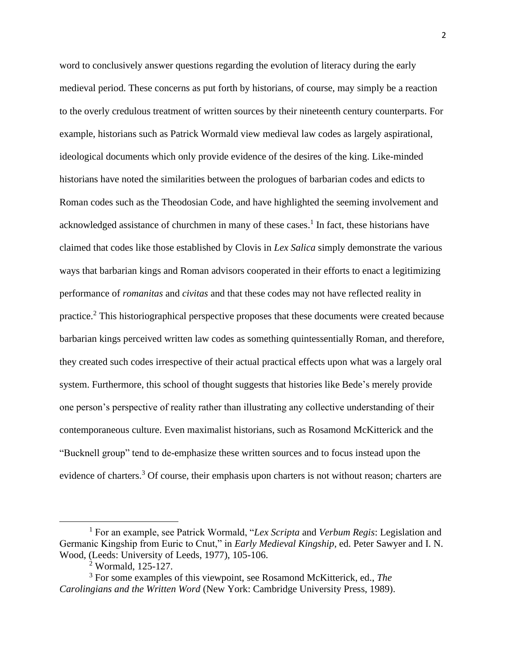word to conclusively answer questions regarding the evolution of literacy during the early medieval period. These concerns as put forth by historians, of course, may simply be a reaction to the overly credulous treatment of written sources by their nineteenth century counterparts. For example, historians such as Patrick Wormald view medieval law codes as largely aspirational, ideological documents which only provide evidence of the desires of the king. Like-minded historians have noted the similarities between the prologues of barbarian codes and edicts to Roman codes such as the Theodosian Code, and have highlighted the seeming involvement and acknowledged assistance of churchmen in many of these cases.<sup>1</sup> In fact, these historians have claimed that codes like those established by Clovis in *Lex Salica* simply demonstrate the various ways that barbarian kings and Roman advisors cooperated in their efforts to enact a legitimizing performance of *romanitas* and *civitas* and that these codes may not have reflected reality in practice.<sup>2</sup> This historiographical perspective proposes that these documents were created because barbarian kings perceived written law codes as something quintessentially Roman, and therefore, they created such codes irrespective of their actual practical effects upon what was a largely oral system. Furthermore, this school of thought suggests that histories like Bede's merely provide one person's perspective of reality rather than illustrating any collective understanding of their contemporaneous culture. Even maximalist historians, such as Rosamond McKitterick and the "Bucknell group" tend to de-emphasize these written sources and to focus instead upon the evidence of charters.<sup>3</sup> Of course, their emphasis upon charters is not without reason; charters are

<sup>1</sup> For an example, see Patrick Wormald, "*Lex Scripta* and *Verbum Regis*: Legislation and Germanic Kingship from Euric to Cnut," in *Early Medieval Kingship*, ed. Peter Sawyer and I. N. Wood, (Leeds: University of Leeds, 1977), 105-106.

<sup>2</sup> Wormald, 125-127.

<sup>3</sup> For some examples of this viewpoint, see Rosamond McKitterick, ed., *The Carolingians and the Written Word* (New York: Cambridge University Press, 1989).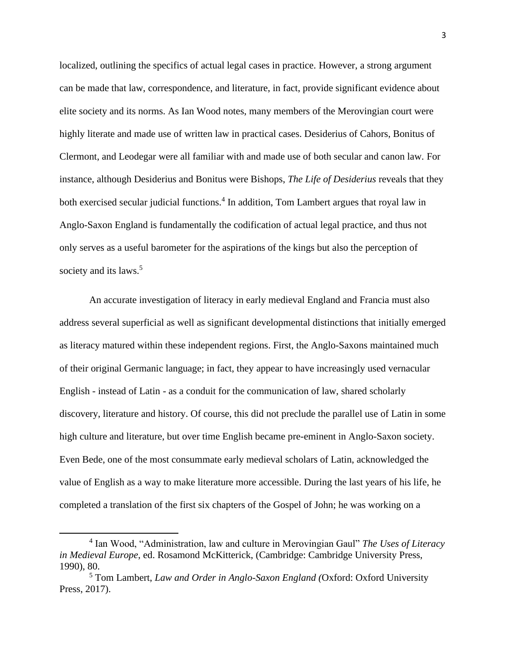localized, outlining the specifics of actual legal cases in practice. However, a strong argument can be made that law, correspondence, and literature, in fact, provide significant evidence about elite society and its norms. As Ian Wood notes, many members of the Merovingian court were highly literate and made use of written law in practical cases. Desiderius of Cahors, Bonitus of Clermont, and Leodegar were all familiar with and made use of both secular and canon law. For instance, although Desiderius and Bonitus were Bishops, *The Life of Desiderius* reveals that they both exercised secular judicial functions.<sup>4</sup> In addition, Tom Lambert argues that royal law in Anglo-Saxon England is fundamentally the codification of actual legal practice, and thus not only serves as a useful barometer for the aspirations of the kings but also the perception of society and its laws.<sup>5</sup>

An accurate investigation of literacy in early medieval England and Francia must also address several superficial as well as significant developmental distinctions that initially emerged as literacy matured within these independent regions. First, the Anglo-Saxons maintained much of their original Germanic language; in fact, they appear to have increasingly used vernacular English - instead of Latin - as a conduit for the communication of law, shared scholarly discovery, literature and history. Of course, this did not preclude the parallel use of Latin in some high culture and literature, but over time English became pre-eminent in Anglo-Saxon society. Even Bede, one of the most consummate early medieval scholars of Latin, acknowledged the value of English as a way to make literature more accessible. During the last years of his life, he completed a translation of the first six chapters of the Gospel of John; he was working on a

<sup>4</sup> Ian Wood, "Administration, law and culture in Merovingian Gaul" *The Uses of Literacy in Medieval Europe*, ed. Rosamond McKitterick, (Cambridge: Cambridge University Press, 1990), 80.

<sup>5</sup> Tom Lambert, *Law and Order in Anglo-Saxon England (*Oxford: Oxford University Press, 2017).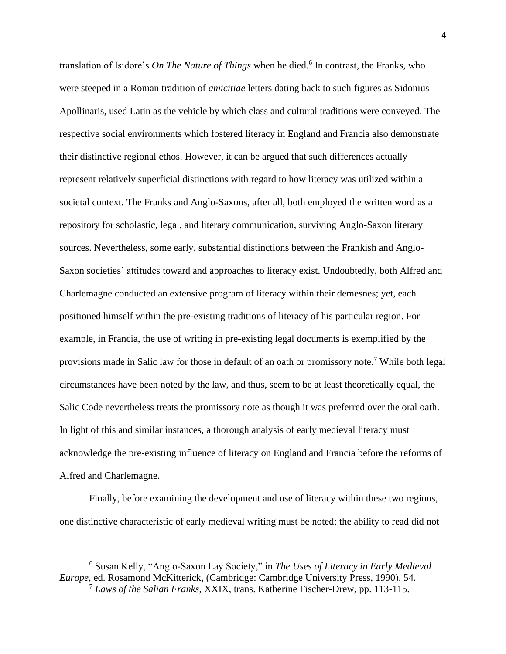translation of Isidore's *On The Nature of Things* when he died.<sup>6</sup> In contrast, the Franks, who were steeped in a Roman tradition of *amicitiae* letters dating back to such figures as Sidonius Apollinaris, used Latin as the vehicle by which class and cultural traditions were conveyed. The respective social environments which fostered literacy in England and Francia also demonstrate their distinctive regional ethos. However, it can be argued that such differences actually represent relatively superficial distinctions with regard to how literacy was utilized within a societal context. The Franks and Anglo-Saxons, after all, both employed the written word as a repository for scholastic, legal, and literary communication, surviving Anglo-Saxon literary sources. Nevertheless, some early, substantial distinctions between the Frankish and Anglo-Saxon societies' attitudes toward and approaches to literacy exist. Undoubtedly, both Alfred and Charlemagne conducted an extensive program of literacy within their demesnes; yet, each positioned himself within the pre-existing traditions of literacy of his particular region. For example, in Francia, the use of writing in pre-existing legal documents is exemplified by the provisions made in Salic law for those in default of an oath or promissory note.<sup>7</sup> While both legal circumstances have been noted by the law, and thus, seem to be at least theoretically equal, the Salic Code nevertheless treats the promissory note as though it was preferred over the oral oath. In light of this and similar instances, a thorough analysis of early medieval literacy must acknowledge the pre-existing influence of literacy on England and Francia before the reforms of Alfred and Charlemagne.

Finally, before examining the development and use of literacy within these two regions, one distinctive characteristic of early medieval writing must be noted; the ability to read did not

<sup>6</sup> Susan Kelly, "Anglo-Saxon Lay Society," in *The Uses of Literacy in Early Medieval Europe*, ed. Rosamond McKitterick, (Cambridge: Cambridge University Press, 1990), 54. <sup>7</sup> *Laws of the Salian Franks*, XXIX, trans. Katherine Fischer-Drew, pp. 113-115.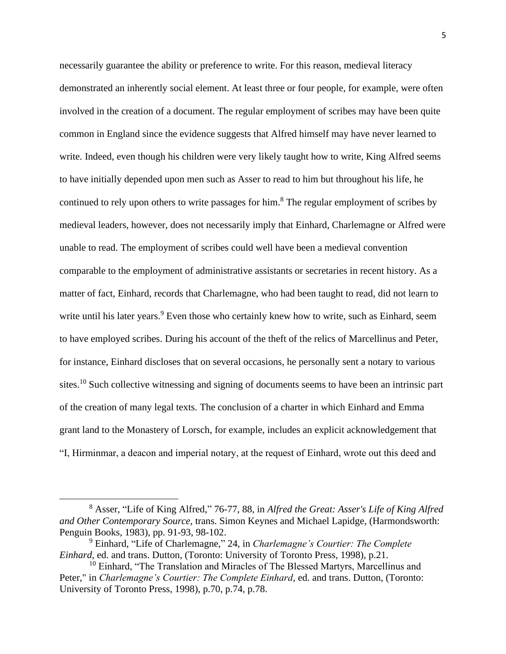necessarily guarantee the ability or preference to write. For this reason, medieval literacy demonstrated an inherently social element. At least three or four people, for example, were often involved in the creation of a document. The regular employment of scribes may have been quite common in England since the evidence suggests that Alfred himself may have never learned to write. Indeed, even though his children were very likely taught how to write, King Alfred seems to have initially depended upon men such as Asser to read to him but throughout his life, he continued to rely upon others to write passages for him. <sup>8</sup> The regular employment of scribes by medieval leaders, however, does not necessarily imply that Einhard, Charlemagne or Alfred were unable to read. The employment of scribes could well have been a medieval convention comparable to the employment of administrative assistants or secretaries in recent history. As a matter of fact, Einhard, records that Charlemagne, who had been taught to read, did not learn to write until his later years.<sup>9</sup> Even those who certainly knew how to write, such as Einhard, seem to have employed scribes. During his account of the theft of the relics of Marcellinus and Peter, for instance, Einhard discloses that on several occasions, he personally sent a notary to various sites.<sup>10</sup> Such collective witnessing and signing of documents seems to have been an intrinsic part of the creation of many legal texts. The conclusion of a charter in which Einhard and Emma grant land to the Monastery of Lorsch, for example, includes an explicit acknowledgement that "I, Hirminmar, a deacon and imperial notary, at the request of Einhard, wrote out this deed and

<sup>8</sup> Asser, "Life of King Alfred," 76-77, 88, in *Alfred the Great: Asser's Life of King Alfred and Other Contemporary Source*, trans. Simon Keynes and Michael Lapidge, (Harmondsworth: Penguin Books, 1983), pp. 91-93, 98-102.

<sup>9</sup> Einhard, "Life of Charlemagne," 24, in *Charlemagne's Courtier: The Complete Einhard*, ed. and trans. Dutton, (Toronto: University of Toronto Press, 1998), p.21.

 $10$  Einhard, "The Translation and Miracles of The Blessed Martyrs, Marcellinus and Peter," in *Charlemagne's Courtier: The Complete Einhard*, ed. and trans. Dutton, (Toronto: University of Toronto Press, 1998), p.70, p.74, p.78.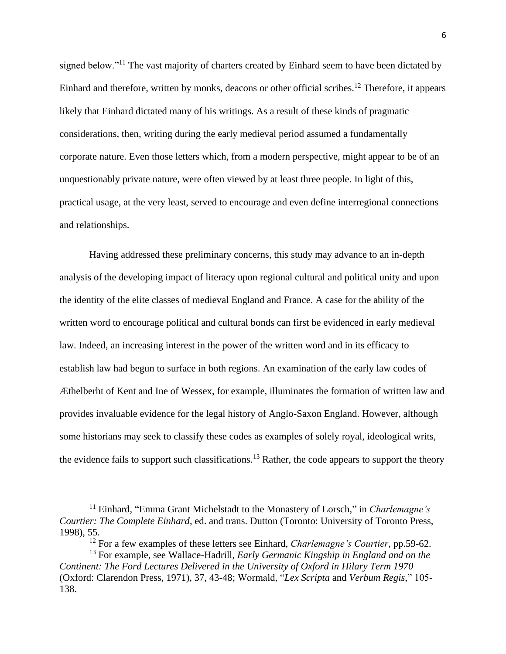signed below."<sup>11</sup> The vast majority of charters created by Einhard seem to have been dictated by Einhard and therefore, written by monks, deacons or other official scribes.<sup>12</sup> Therefore, it appears likely that Einhard dictated many of his writings. As a result of these kinds of pragmatic considerations, then, writing during the early medieval period assumed a fundamentally corporate nature. Even those letters which, from a modern perspective, might appear to be of an unquestionably private nature, were often viewed by at least three people. In light of this, practical usage, at the very least, served to encourage and even define interregional connections and relationships.

Having addressed these preliminary concerns, this study may advance to an in-depth analysis of the developing impact of literacy upon regional cultural and political unity and upon the identity of the elite classes of medieval England and France. A case for the ability of the written word to encourage political and cultural bonds can first be evidenced in early medieval law. Indeed, an increasing interest in the power of the written word and in its efficacy to establish law had begun to surface in both regions. An examination of the early law codes of Æthelberht of Kent and Ine of Wessex, for example, illuminates the formation of written law and provides invaluable evidence for the legal history of Anglo-Saxon England. However, although some historians may seek to classify these codes as examples of solely royal, ideological writs, the evidence fails to support such classifications.<sup>13</sup> Rather, the code appears to support the theory

<sup>11</sup> Einhard, "Emma Grant Michelstadt to the Monastery of Lorsch," in *Charlemagne's Courtier: The Complete Einhard*, ed. and trans. Dutton (Toronto: University of Toronto Press, 1998), 55.

<sup>12</sup> For a few examples of these letters see Einhard, *Charlemagne's Courtier*, pp.59-62.

<sup>13</sup> For example, see Wallace-Hadrill, *Early Germanic Kingship in England and on the Continent: The Ford Lectures Delivered in the University of Oxford in Hilary Term 1970* (Oxford: Clarendon Press, 1971), 37, 43-48; Wormald, "*Lex Scripta* and *Verbum Regis*," 105- 138.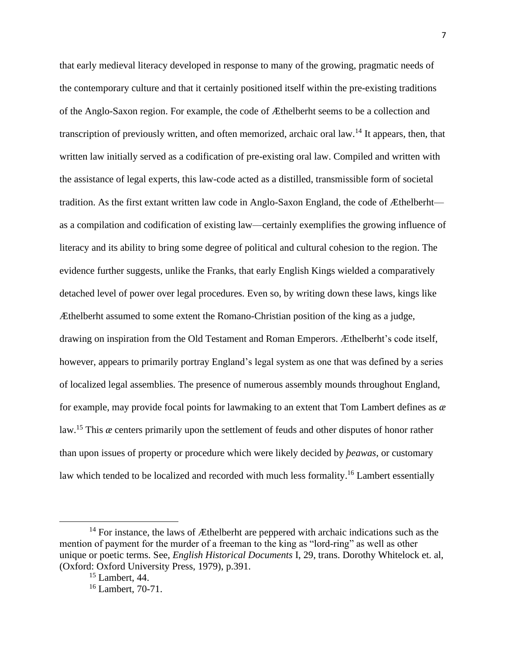that early medieval literacy developed in response to many of the growing, pragmatic needs of the contemporary culture and that it certainly positioned itself within the pre-existing traditions of the Anglo-Saxon region. For example, the code of Æthelberht seems to be a collection and transcription of previously written, and often memorized, archaic oral law.<sup>14</sup> It appears, then, that written law initially served as a codification of pre-existing oral law. Compiled and written with the assistance of legal experts, this law-code acted as a distilled, transmissible form of societal tradition. As the first extant written law code in Anglo-Saxon England, the code of Æthelberht as a compilation and codification of existing law—certainly exemplifies the growing influence of literacy and its ability to bring some degree of political and cultural cohesion to the region. The evidence further suggests, unlike the Franks, that early English Kings wielded a comparatively detached level of power over legal procedures. Even so, by writing down these laws, kings like Æthelberht assumed to some extent the Romano-Christian position of the king as a judge, drawing on inspiration from the Old Testament and Roman Emperors. Æthelberht's code itself, however, appears to primarily portray England's legal system as one that was defined by a series of localized legal assemblies. The presence of numerous assembly mounds throughout England, for example, may provide focal points for lawmaking to an extent that Tom Lambert defines as *æ*  law.<sup>15</sup> This *æ* centers primarily upon the settlement of feuds and other disputes of honor rather than upon issues of property or procedure which were likely decided by *þeawas*, or customary law which tended to be localized and recorded with much less formality.<sup>16</sup> Lambert essentially

 $14$  For instance, the laws of Æthelberht are peppered with archaic indications such as the mention of payment for the murder of a freeman to the king as "lord-ring" as well as other unique or poetic terms. See, *English Historical Documents* I, 29, trans. Dorothy Whitelock et. al, (Oxford: Oxford University Press, 1979), p.391.

 $15$  Lambert, 44.

<sup>16</sup> Lambert, 70-71.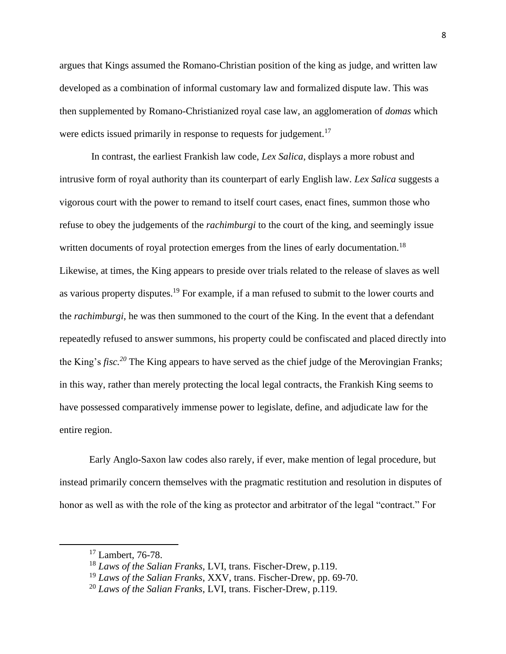argues that Kings assumed the Romano-Christian position of the king as judge, and written law developed as a combination of informal customary law and formalized dispute law. This was then supplemented by Romano-Christianized royal case law, an agglomeration of *domas* which were edicts issued primarily in response to requests for judgement.<sup>17</sup>

In contrast, the earliest Frankish law code, *Lex Salica*, displays a more robust and intrusive form of royal authority than its counterpart of early English law. *Lex Salica* suggests a vigorous court with the power to remand to itself court cases, enact fines, summon those who refuse to obey the judgements of the *rachimburgi* to the court of the king, and seemingly issue written documents of royal protection emerges from the lines of early documentation.<sup>18</sup> Likewise, at times, the King appears to preside over trials related to the release of slaves as well as various property disputes.<sup>19</sup> For example, if a man refused to submit to the lower courts and the *rachimburgi,* he was then summoned to the court of the King. In the event that a defendant repeatedly refused to answer summons, his property could be confiscated and placed directly into the King's *fisc.<sup>20</sup>* The King appears to have served as the chief judge of the Merovingian Franks; in this way, rather than merely protecting the local legal contracts, the Frankish King seems to have possessed comparatively immense power to legislate, define, and adjudicate law for the entire region.

Early Anglo-Saxon law codes also rarely, if ever, make mention of legal procedure, but instead primarily concern themselves with the pragmatic restitution and resolution in disputes of honor as well as with the role of the king as protector and arbitrator of the legal "contract." For

<sup>&</sup>lt;sup>17</sup> Lambert, 76-78.

<sup>18</sup> *Laws of the Salian Franks,* LVI, trans. Fischer-Drew, p.119.

<sup>19</sup> *Laws of the Salian Franks*, XXV, trans. Fischer-Drew, pp. 69-70.

<sup>20</sup> *Laws of the Salian Franks*, LVI, trans. Fischer-Drew, p.119.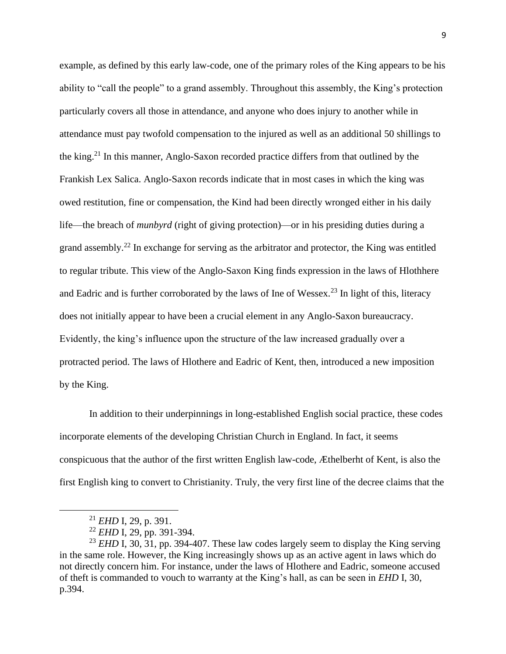example, as defined by this early law-code, one of the primary roles of the King appears to be his ability to "call the people" to a grand assembly. Throughout this assembly, the King's protection particularly covers all those in attendance, and anyone who does injury to another while in attendance must pay twofold compensation to the injured as well as an additional 50 shillings to the king.<sup>21</sup> In this manner, Anglo-Saxon recorded practice differs from that outlined by the Frankish Lex Salica. Anglo-Saxon records indicate that in most cases in which the king was owed restitution, fine or compensation, the Kind had been directly wronged either in his daily life—the breach of *munbyrd* (right of giving protection)—or in his presiding duties during a grand assembly.<sup>22</sup> In exchange for serving as the arbitrator and protector, the King was entitled to regular tribute. This view of the Anglo-Saxon King finds expression in the laws of Hlothhere and Eadric and is further corroborated by the laws of Ine of Wessex.<sup>23</sup> In light of this, literacy does not initially appear to have been a crucial element in any Anglo-Saxon bureaucracy. Evidently, the king's influence upon the structure of the law increased gradually over a protracted period. The laws of Hlothere and Eadric of Kent, then, introduced a new imposition by the King.

In addition to their underpinnings in long-established English social practice, these codes incorporate elements of the developing Christian Church in England. In fact, it seems conspicuous that the author of the first written English law-code, Æthelberht of Kent, is also the first English king to convert to Christianity. Truly, the very first line of the decree claims that the

<sup>21</sup> *EHD* I, 29, p. 391.

<sup>22</sup> *EHD* I, 29, pp. 391-394.

<sup>&</sup>lt;sup>23</sup> *EHD* I, 30, 31, pp. 394-407. These law codes largely seem to display the King serving in the same role. However, the King increasingly shows up as an active agent in laws which do not directly concern him. For instance, under the laws of Hlothere and Eadric, someone accused of theft is commanded to vouch to warranty at the King's hall, as can be seen in *EHD* I, 30, p.394.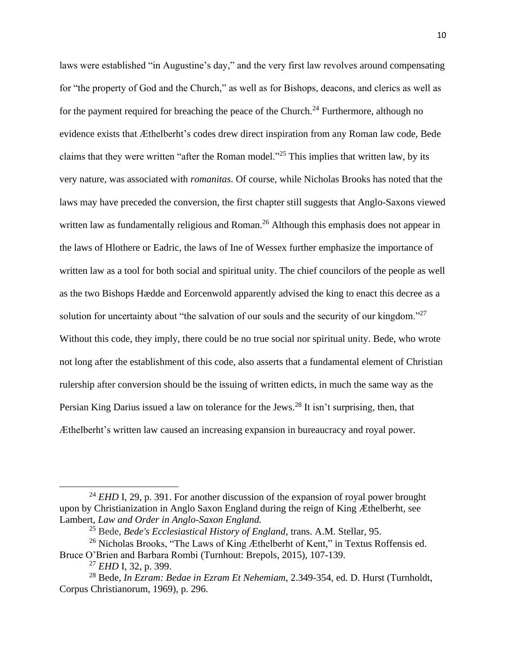laws were established "in Augustine's day," and the very first law revolves around compensating for "the property of God and the Church," as well as for Bishops, deacons, and clerics as well as for the payment required for breaching the peace of the Church.<sup>24</sup> Furthermore, although no evidence exists that Æthelberht's codes drew direct inspiration from any Roman law code, Bede claims that they were written "after the Roman model."<sup>25</sup> This implies that written law, by its very nature, was associated with *romanitas*. Of course, while Nicholas Brooks has noted that the laws may have preceded the conversion, the first chapter still suggests that Anglo-Saxons viewed written law as fundamentally religious and Roman.<sup>26</sup> Although this emphasis does not appear in the laws of Hlothere or Eadric, the laws of Ine of Wessex further emphasize the importance of written law as a tool for both social and spiritual unity. The chief councilors of the people as well as the two Bishops Hædde and Eorcenwold apparently advised the king to enact this decree as a solution for uncertainty about "the salvation of our souls and the security of our kingdom."<sup>27</sup> Without this code, they imply, there could be no true social nor spiritual unity. Bede, who wrote not long after the establishment of this code, also asserts that a fundamental element of Christian rulership after conversion should be the issuing of written edicts, in much the same way as the Persian King Darius issued a law on tolerance for the Jews.<sup>28</sup> It isn't surprising, then, that Æthelberht's written law caused an increasing expansion in bureaucracy and royal power.

<sup>&</sup>lt;sup>24</sup> *EHD* I, 29, p. 391. For another discussion of the expansion of royal power brought upon by Christianization in Anglo Saxon England during the reign of King Æthelberht, see Lambert, *Law and Order in Anglo-Saxon England.*

<sup>25</sup> Bede, *Bede's Ecclesiastical History of England*, trans. A.M. Stellar, 95.

<sup>&</sup>lt;sup>26</sup> Nicholas Brooks, "The Laws of King Æthelberht of Kent," in Textus Roffensis ed. Bruce O'Brien and Barbara Rombi (Turnhout: Brepols, 2015), 107-139.

<sup>27</sup> *EHD* I, 32, p. 399.

<sup>28</sup> Bede, *In Ezram: Bedae in Ezram Et Nehemiam*, 2.349-354, ed. D. Hurst (Turnholdt, Corpus Christianorum, 1969), p. 296.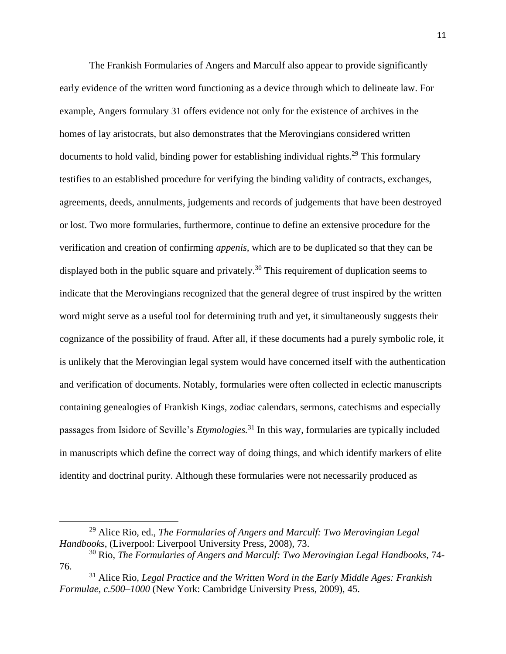The Frankish Formularies of Angers and Marculf also appear to provide significantly early evidence of the written word functioning as a device through which to delineate law. For example, Angers formulary 31 offers evidence not only for the existence of archives in the homes of lay aristocrats, but also demonstrates that the Merovingians considered written documents to hold valid, binding power for establishing individual rights.<sup>29</sup> This formulary testifies to an established procedure for verifying the binding validity of contracts, exchanges, agreements, deeds, annulments, judgements and records of judgements that have been destroyed or lost. Two more formularies, furthermore, continue to define an extensive procedure for the verification and creation of confirming *appenis,* which are to be duplicated so that they can be displayed both in the public square and privately.<sup>30</sup> This requirement of duplication seems to indicate that the Merovingians recognized that the general degree of trust inspired by the written word might serve as a useful tool for determining truth and yet, it simultaneously suggests their cognizance of the possibility of fraud. After all, if these documents had a purely symbolic role, it is unlikely that the Merovingian legal system would have concerned itself with the authentication and verification of documents. Notably, formularies were often collected in eclectic manuscripts containing genealogies of Frankish Kings, zodiac calendars, sermons, catechisms and especially passages from Isidore of Seville's *Etymologies.*<sup>31</sup> In this way, formularies are typically included in manuscripts which define the correct way of doing things, and which identify markers of elite identity and doctrinal purity. Although these formularies were not necessarily produced as

<sup>29</sup> Alice Rio, ed., *The Formularies of Angers and Marculf: Two Merovingian Legal Handbooks*, (Liverpool: Liverpool University Press, 2008), 73.

<sup>30</sup> Rio, *The Formularies of Angers and Marculf: Two Merovingian Legal Handbooks,* 74- 76.

<sup>31</sup> Alice Rio, *Legal Practice and the Written Word in the Early Middle Ages: Frankish Formulae, c.500–1000* (New York: Cambridge University Press, 2009), 45.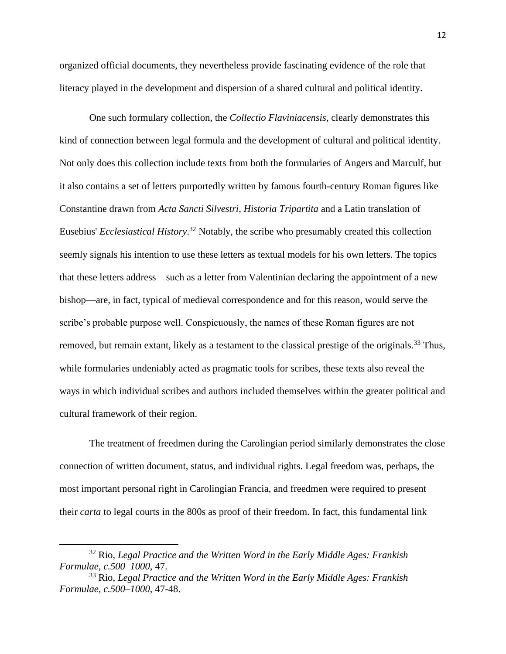organized official documents, they nevertheless provide fascinating evidence of the role that literacy played in the development and dispersion of a shared cultural and political identity.

One such formulary collection, the *Collectio Flaviniacensis*, clearly demonstrates this kind of connection between legal formula and the development of cultural and political identity. Not only does this collection include texts from both the formularies of Angers and Marculf, but it also contains a set of letters purportedly written by famous fourth-century Roman figures like Constantine drawn from *Acta Sancti Silvestri*, *Historia Tripartita* and a Latin translation of Eusebius' *Ecclesiastical History*. <sup>32</sup> Notably, the scribe who presumably created this collection seemly signals his intention to use these letters as textual models for his own letters. The topics that these letters address—such as a letter from Valentinian declaring the appointment of a new bishop—are, in fact, typical of medieval correspondence and for this reason, would serve the scribe's probable purpose well. Conspicuously, the names of these Roman figures are not removed, but remain extant, likely as a testament to the classical prestige of the originals.<sup>33</sup> Thus, while formularies undeniably acted as pragmatic tools for scribes, these texts also reveal the ways in which individual scribes and authors included themselves within the greater political and cultural framework of their region.

The treatment of freedmen during the Carolingian period similarly demonstrates the close connection of written document, status, and individual rights. Legal freedom was, perhaps, the most important personal right in Carolingian Francia, and freedmen were required to present their *carta* to legal courts in the 800s as proof of their freedom. In fact, this fundamental link

<sup>32</sup> Rio, *Legal Practice and the Written Word in the Early Middle Ages: Frankish Formulae, c.500–1000*, 47.

<sup>33</sup> Rio, *Legal Practice and the Written Word in the Early Middle Ages: Frankish Formulae, c.500–1000*, 47-48.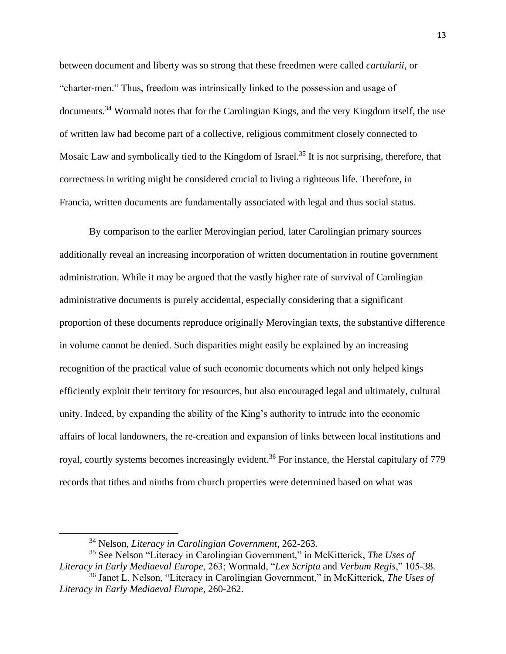between document and liberty was so strong that these freedmen were called *cartularii*, or "charter-men." Thus, freedom was intrinsically linked to the possession and usage of documents.<sup>34</sup> Wormald notes that for the Carolingian Kings, and the very Kingdom itself, the use of written law had become part of a collective, religious commitment closely connected to Mosaic Law and symbolically tied to the Kingdom of Israel.<sup>35</sup> It is not surprising, therefore, that correctness in writing might be considered crucial to living a righteous life. Therefore, in Francia, written documents are fundamentally associated with legal and thus social status.

By comparison to the earlier Merovingian period, later Carolingian primary sources additionally reveal an increasing incorporation of written documentation in routine government administration. While it may be argued that the vastly higher rate of survival of Carolingian administrative documents is purely accidental, especially considering that a significant proportion of these documents reproduce originally Merovingian texts, the substantive difference in volume cannot be denied. Such disparities might easily be explained by an increasing recognition of the practical value of such economic documents which not only helped kings efficiently exploit their territory for resources, but also encouraged legal and ultimately, cultural unity. Indeed, by expanding the ability of the King's authority to intrude into the economic affairs of local landowners, the re-creation and expansion of links between local institutions and royal, courtly systems becomes increasingly evident.<sup>36</sup> For instance, the Herstal capitulary of 779 records that tithes and ninths from church properties were determined based on what was

<sup>34</sup> Nelson, *Literacy in Carolingian Government*, 262-263.

<sup>35</sup> See Nelson "Literacy in Carolingian Government," in McKitterick, *The Uses of Literacy in Early Mediaeval Europe*, 263; Wormald, "*Lex Scripta* and *Verbum Regis*," 105-38.

<sup>36</sup> Janet L. Nelson, "Literacy in Carolingian Government," in McKitterick, *The Uses of Literacy in Early Mediaeval Europe*, 260-262.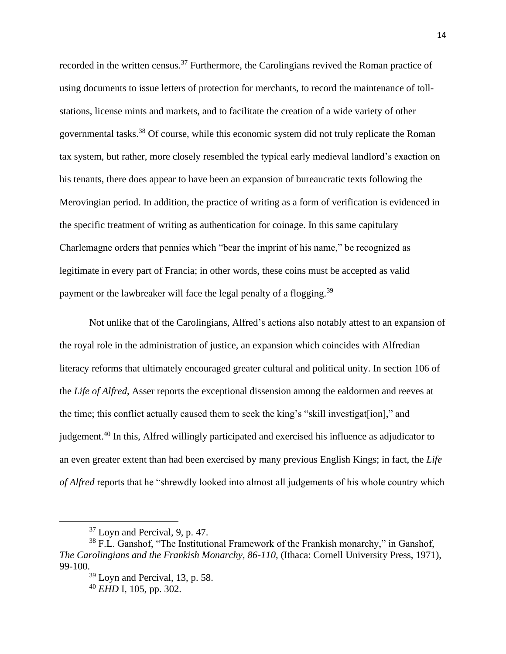recorded in the written census.<sup>37</sup> Furthermore, the Carolingians revived the Roman practice of using documents to issue letters of protection for merchants, to record the maintenance of tollstations, license mints and markets, and to facilitate the creation of a wide variety of other governmental tasks.<sup>38</sup> Of course, while this economic system did not truly replicate the Roman tax system, but rather, more closely resembled the typical early medieval landlord's exaction on his tenants, there does appear to have been an expansion of bureaucratic texts following the Merovingian period. In addition, the practice of writing as a form of verification is evidenced in the specific treatment of writing as authentication for coinage. In this same capitulary Charlemagne orders that pennies which "bear the imprint of his name," be recognized as legitimate in every part of Francia; in other words, these coins must be accepted as valid payment or the lawbreaker will face the legal penalty of a flogging.<sup>39</sup>

Not unlike that of the Carolingians, Alfred's actions also notably attest to an expansion of the royal role in the administration of justice, an expansion which coincides with Alfredian literacy reforms that ultimately encouraged greater cultural and political unity. In section 106 of the *Life of Alfred*, Asser reports the exceptional dissension among the ealdormen and reeves at the time; this conflict actually caused them to seek the king's "skill investigat[ion]," and judgement.<sup>40</sup> In this, Alfred willingly participated and exercised his influence as adjudicator to an even greater extent than had been exercised by many previous English Kings; in fact, the *Life of Alfred* reports that he "shrewdly looked into almost all judgements of his whole country which

<sup>37</sup> Loyn and Percival, 9, p. 47.

<sup>&</sup>lt;sup>38</sup> F.L. Ganshof, "The Institutional Framework of the Frankish monarchy," in Ganshof, *The Carolingians and the Frankish Monarchy, 86-110*, (Ithaca: Cornell University Press, 1971), 99-100.

<sup>39</sup> Loyn and Percival, 13, p. 58.

<sup>40</sup> *EHD* I, 105, pp. 302.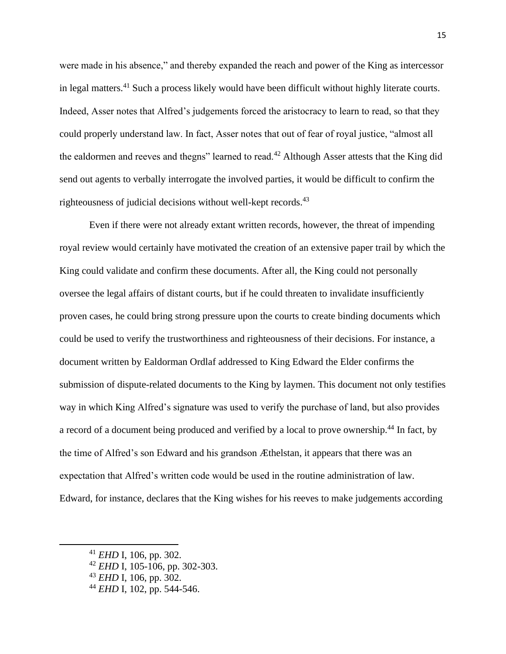were made in his absence," and thereby expanded the reach and power of the King as intercessor in legal matters.<sup>41</sup> Such a process likely would have been difficult without highly literate courts. Indeed, Asser notes that Alfred's judgements forced the aristocracy to learn to read, so that they could properly understand law. In fact, Asser notes that out of fear of royal justice, "almost all the ealdormen and reeves and thegns" learned to read.<sup>42</sup> Although Asser attests that the King did send out agents to verbally interrogate the involved parties, it would be difficult to confirm the righteousness of judicial decisions without well-kept records.<sup>43</sup>

Even if there were not already extant written records, however, the threat of impending royal review would certainly have motivated the creation of an extensive paper trail by which the King could validate and confirm these documents. After all, the King could not personally oversee the legal affairs of distant courts, but if he could threaten to invalidate insufficiently proven cases, he could bring strong pressure upon the courts to create binding documents which could be used to verify the trustworthiness and righteousness of their decisions. For instance, a document written by Ealdorman Ordlaf addressed to King Edward the Elder confirms the submission of dispute-related documents to the King by laymen. This document not only testifies way in which King Alfred's signature was used to verify the purchase of land, but also provides a record of a document being produced and verified by a local to prove ownership.<sup>44</sup> In fact, by the time of Alfred's son Edward and his grandson Æthelstan, it appears that there was an expectation that Alfred's written code would be used in the routine administration of law. Edward, for instance, declares that the King wishes for his reeves to make judgements according

<sup>41</sup> *EHD* I, 106, pp. 302.

<sup>42</sup> *EHD* I, 105-106, pp. 302-303.

<sup>43</sup> *EHD* I, 106, pp. 302.

<sup>44</sup> *EHD* I, 102, pp. 544-546.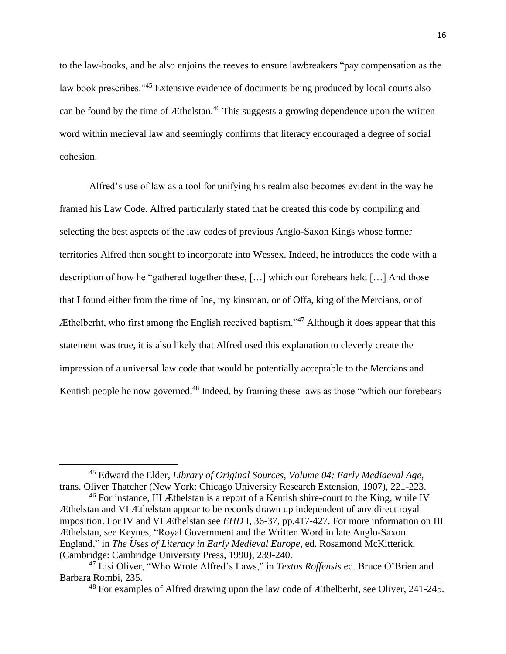to the law-books, and he also enjoins the reeves to ensure lawbreakers "pay compensation as the law book prescribes."<sup>45</sup> Extensive evidence of documents being produced by local courts also can be found by the time of Æthelstan.<sup>46</sup> This suggests a growing dependence upon the written word within medieval law and seemingly confirms that literacy encouraged a degree of social cohesion.

Alfred's use of law as a tool for unifying his realm also becomes evident in the way he framed his Law Code. Alfred particularly stated that he created this code by compiling and selecting the best aspects of the law codes of previous Anglo-Saxon Kings whose former territories Alfred then sought to incorporate into Wessex. Indeed, he introduces the code with a description of how he "gathered together these, […] which our forebears held […] And those that I found either from the time of Ine, my kinsman, or of Offa, king of the Mercians, or of Æthelberht, who first among the English received baptism."<sup>47</sup> Although it does appear that this statement was true, it is also likely that Alfred used this explanation to cleverly create the impression of a universal law code that would be potentially acceptable to the Mercians and Kentish people he now governed.<sup>48</sup> Indeed, by framing these laws as those "which our forebears

<sup>45</sup> Edward the Elder, *Library of Original Sources, Volume 04: Early Mediaeval Age*, trans. Oliver Thatcher (New York: Chicago University Research Extension, 1907), 221-223.

<sup>46</sup> For instance, III Æthelstan is a report of a Kentish shire-court to the King, while IV Æthelstan and VI Æthelstan appear to be records drawn up independent of any direct royal imposition. For IV and VI Æthelstan see *EHD* I, 36-37, pp.417-427. For more information on III Æthelstan, see Keynes, "Royal Government and the Written Word in late Anglo-Saxon England," in *The Uses of Literacy in Early Medieval Europe*, ed. Rosamond McKitterick, (Cambridge: Cambridge University Press, 1990), 239-240.

<sup>47</sup> Lisi Oliver, "Who Wrote Alfred's Laws," in *Textus Roffensis* ed. Bruce O'Brien and Barbara Rombi, 235.

<sup>48</sup> For examples of Alfred drawing upon the law code of Æthelberht, see Oliver, 241-245.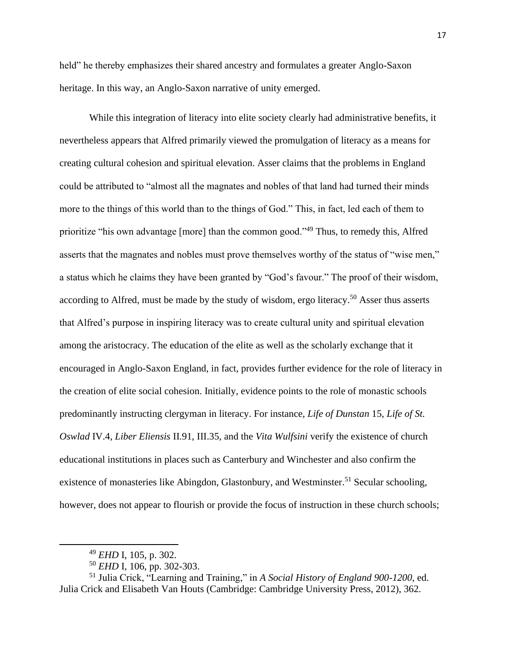held" he thereby emphasizes their shared ancestry and formulates a greater Anglo-Saxon heritage. In this way, an Anglo-Saxon narrative of unity emerged.

While this integration of literacy into elite society clearly had administrative benefits, it nevertheless appears that Alfred primarily viewed the promulgation of literacy as a means for creating cultural cohesion and spiritual elevation. Asser claims that the problems in England could be attributed to "almost all the magnates and nobles of that land had turned their minds more to the things of this world than to the things of God." This, in fact, led each of them to prioritize "his own advantage [more] than the common good."<sup>49</sup> Thus, to remedy this, Alfred asserts that the magnates and nobles must prove themselves worthy of the status of "wise men," a status which he claims they have been granted by "God's favour." The proof of their wisdom, according to Alfred, must be made by the study of wisdom, ergo literacy.<sup>50</sup> Asser thus asserts that Alfred's purpose in inspiring literacy was to create cultural unity and spiritual elevation among the aristocracy. The education of the elite as well as the scholarly exchange that it encouraged in Anglo-Saxon England, in fact, provides further evidence for the role of literacy in the creation of elite social cohesion. Initially, evidence points to the role of monastic schools predominantly instructing clergyman in literacy. For instance, *Life of Dunstan* 15, *Life of St. Oswlad* IV.4, *Liber Eliensis* II.91, III.35, and the *Vita Wulfsini* verify the existence of church educational institutions in places such as Canterbury and Winchester and also confirm the existence of monasteries like Abingdon, Glastonbury, and Westminster.<sup>51</sup> Secular schooling, however, does not appear to flourish or provide the focus of instruction in these church schools;

<sup>51</sup> Julia Crick, "Learning and Training," in *A Social History of England 900-1200*, ed. Julia Crick and Elisabeth Van Houts (Cambridge: Cambridge University Press, 2012), 362.

<sup>49</sup> *EHD* I, 105, p. 302.

<sup>50</sup> *EHD* I, 106, pp. 302-303.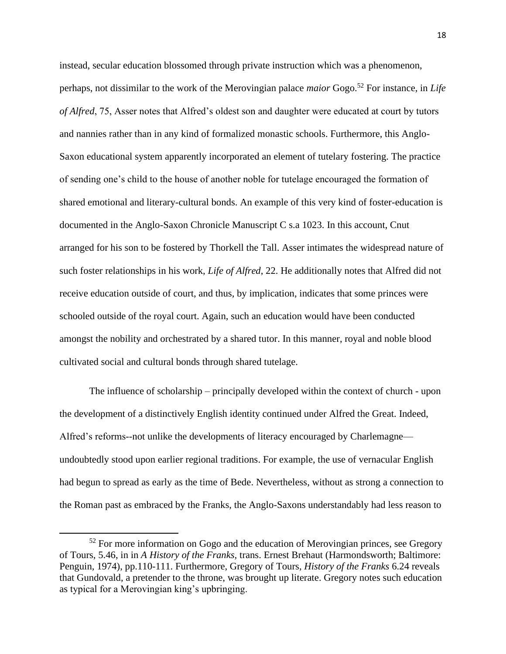instead, secular education blossomed through private instruction which was a phenomenon, perhaps, not dissimilar to the work of the Merovingian palace *maior* Gogo.<sup>52</sup> For instance, in *Life of Alfred*, 75, Asser notes that Alfred's oldest son and daughter were educated at court by tutors and nannies rather than in any kind of formalized monastic schools. Furthermore, this Anglo-Saxon educational system apparently incorporated an element of tutelary fostering. The practice of sending one's child to the house of another noble for tutelage encouraged the formation of shared emotional and literary-cultural bonds. An example of this very kind of foster-education is documented in the Anglo-Saxon Chronicle Manuscript C s.a 1023. In this account, Cnut arranged for his son to be fostered by Thorkell the Tall. Asser intimates the widespread nature of such foster relationships in his work, *Life of Alfred*, 22. He additionally notes that Alfred did not receive education outside of court, and thus, by implication, indicates that some princes were schooled outside of the royal court. Again, such an education would have been conducted amongst the nobility and orchestrated by a shared tutor. In this manner, royal and noble blood cultivated social and cultural bonds through shared tutelage.

The influence of scholarship – principally developed within the context of church - upon the development of a distinctively English identity continued under Alfred the Great. Indeed, Alfred's reforms--not unlike the developments of literacy encouraged by Charlemagne undoubtedly stood upon earlier regional traditions. For example, the use of vernacular English had begun to spread as early as the time of Bede. Nevertheless, without as strong a connection to the Roman past as embraced by the Franks, the Anglo-Saxons understandably had less reason to

 $52$  For more information on Gogo and the education of Merovingian princes, see Gregory of Tours, 5.46, in in *A History of the Franks,* trans. Ernest Brehaut (Harmondsworth; Baltimore: Penguin, 1974), pp.110-111. Furthermore, Gregory of Tours, *History of the Franks* 6.24 reveals that Gundovald, a pretender to the throne, was brought up literate. Gregory notes such education as typical for a Merovingian king's upbringing.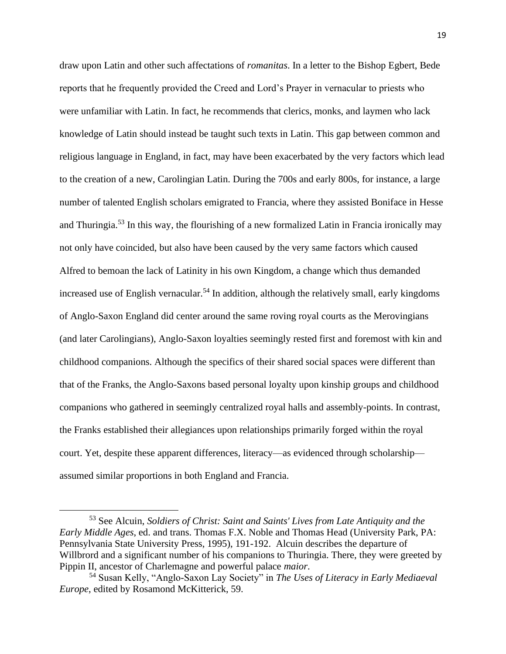draw upon Latin and other such affectations of *romanitas*. In a letter to the Bishop Egbert, Bede reports that he frequently provided the Creed and Lord's Prayer in vernacular to priests who were unfamiliar with Latin. In fact, he recommends that clerics, monks, and laymen who lack knowledge of Latin should instead be taught such texts in Latin. This gap between common and religious language in England, in fact, may have been exacerbated by the very factors which lead to the creation of a new, Carolingian Latin. During the 700s and early 800s, for instance, a large number of talented English scholars emigrated to Francia, where they assisted Boniface in Hesse and Thuringia.<sup>53</sup> In this way, the flourishing of a new formalized Latin in Francia ironically may not only have coincided, but also have been caused by the very same factors which caused Alfred to bemoan the lack of Latinity in his own Kingdom, a change which thus demanded increased use of English vernacular.<sup>54</sup> In addition, although the relatively small, early kingdoms of Anglo-Saxon England did center around the same roving royal courts as the Merovingians (and later Carolingians), Anglo-Saxon loyalties seemingly rested first and foremost with kin and childhood companions. Although the specifics of their shared social spaces were different than that of the Franks, the Anglo-Saxons based personal loyalty upon kinship groups and childhood companions who gathered in seemingly centralized royal halls and assembly-points. In contrast, the Franks established their allegiances upon relationships primarily forged within the royal court. Yet, despite these apparent differences, literacy—as evidenced through scholarship assumed similar proportions in both England and Francia.

<sup>53</sup> See Alcuin, *Soldiers of Christ: Saint and Saints' Lives from Late Antiquity and the Early Middle Ages*, ed. and trans. Thomas F.X. Noble and Thomas Head (University Park, PA: Pennsylvania State University Press, 1995), 191-192. Alcuin describes the departure of Willbrord and a significant number of his companions to Thuringia. There, they were greeted by Pippin II, ancestor of Charlemagne and powerful palace *maior*.

<sup>54</sup> Susan Kelly, "Anglo-Saxon Lay Society" in *The Uses of Literacy in Early Mediaeval Europe*, edited by Rosamond McKitterick, 59.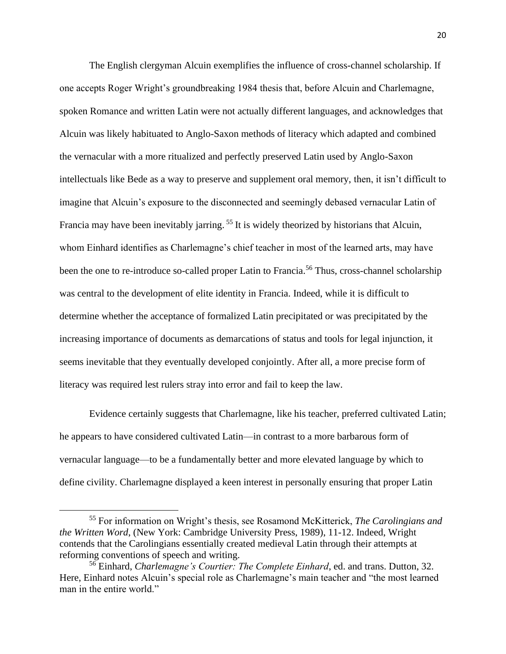The English clergyman Alcuin exemplifies the influence of cross-channel scholarship. If one accepts Roger Wright's groundbreaking 1984 thesis that, before Alcuin and Charlemagne, spoken Romance and written Latin were not actually different languages, and acknowledges that Alcuin was likely habituated to Anglo-Saxon methods of literacy which adapted and combined the vernacular with a more ritualized and perfectly preserved Latin used by Anglo-Saxon intellectuals like Bede as a way to preserve and supplement oral memory, then, it isn't difficult to imagine that Alcuin's exposure to the disconnected and seemingly debased vernacular Latin of Francia may have been inevitably jarring.<sup>55</sup> It is widely theorized by historians that Alcuin, whom Einhard identifies as Charlemagne's chief teacher in most of the learned arts, may have been the one to re-introduce so-called proper Latin to Francia.<sup>56</sup> Thus, cross-channel scholarship was central to the development of elite identity in Francia. Indeed, while it is difficult to determine whether the acceptance of formalized Latin precipitated or was precipitated by the increasing importance of documents as demarcations of status and tools for legal injunction, it seems inevitable that they eventually developed conjointly. After all, a more precise form of literacy was required lest rulers stray into error and fail to keep the law.

Evidence certainly suggests that Charlemagne, like his teacher, preferred cultivated Latin; he appears to have considered cultivated Latin—in contrast to a more barbarous form of vernacular language—to be a fundamentally better and more elevated language by which to define civility. Charlemagne displayed a keen interest in personally ensuring that proper Latin

<sup>55</sup> For information on Wright's thesis, see Rosamond McKitterick, *The Carolingians and the Written Word*, (New York: Cambridge University Press, 1989), 11-12. Indeed, Wright contends that the Carolingians essentially created medieval Latin through their attempts at reforming conventions of speech and writing.

<sup>56</sup> Einhard, *Charlemagne's Courtier: The Complete Einhard*, ed. and trans. Dutton, 32. Here, Einhard notes Alcuin's special role as Charlemagne's main teacher and "the most learned man in the entire world."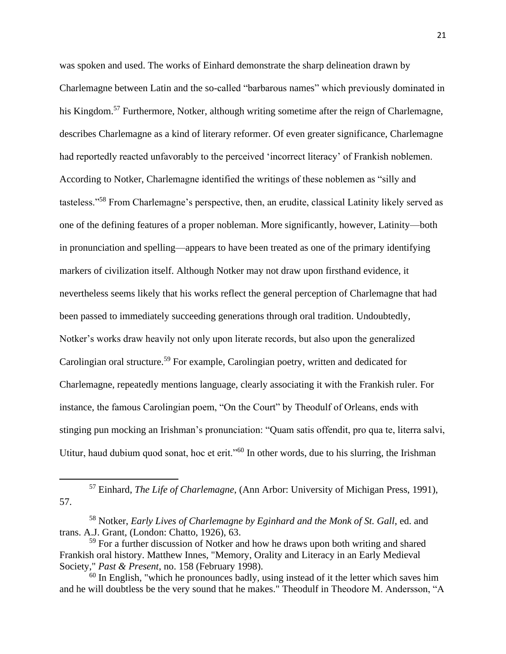was spoken and used. The works of Einhard demonstrate the sharp delineation drawn by Charlemagne between Latin and the so-called "barbarous names" which previously dominated in his Kingdom.<sup>57</sup> Furthermore, Notker, although writing sometime after the reign of Charlemagne, describes Charlemagne as a kind of literary reformer. Of even greater significance, Charlemagne had reportedly reacted unfavorably to the perceived 'incorrect literacy' of Frankish noblemen. According to Notker, Charlemagne identified the writings of these noblemen as "silly and tasteless."<sup>58</sup> From Charlemagne's perspective, then, an erudite, classical Latinity likely served as one of the defining features of a proper nobleman. More significantly, however, Latinity—both in pronunciation and spelling—appears to have been treated as one of the primary identifying markers of civilization itself. Although Notker may not draw upon firsthand evidence, it nevertheless seems likely that his works reflect the general perception of Charlemagne that had been passed to immediately succeeding generations through oral tradition. Undoubtedly, Notker's works draw heavily not only upon literate records, but also upon the generalized Carolingian oral structure.<sup>59</sup> For example, Carolingian poetry, written and dedicated for Charlemagne, repeatedly mentions language, clearly associating it with the Frankish ruler. For instance, the famous Carolingian poem, "On the Court" by Theodulf of Orleans, ends with stinging pun mocking an Irishman's pronunciation: "Quam satis offendit, pro qua te, literra salvi, Utitur, haud dubium quod sonat, hoc et erit."<sup>60</sup> In other words, due to his slurring, the Irishman

<sup>57</sup> Einhard, *The Life of Charlemagne*, (Ann Arbor: University of Michigan Press, 1991), 57.

<sup>58</sup> Notker, *Early Lives of Charlemagne by Eginhard and the Monk of St. Gall*, ed. and trans. A.J. Grant, (London: Chatto, 1926), 63.

<sup>&</sup>lt;sup>59</sup> For a further discussion of Notker and how he draws upon both writing and shared Frankish oral history. Matthew Innes, "Memory, Orality and Literacy in an Early Medieval Society," *Past & Present*, no. 158 (February 1998).

 $60$  In English, "which he pronounces badly, using instead of it the letter which saves him and he will doubtless be the very sound that he makes." Theodulf in Theodore M. Andersson, "A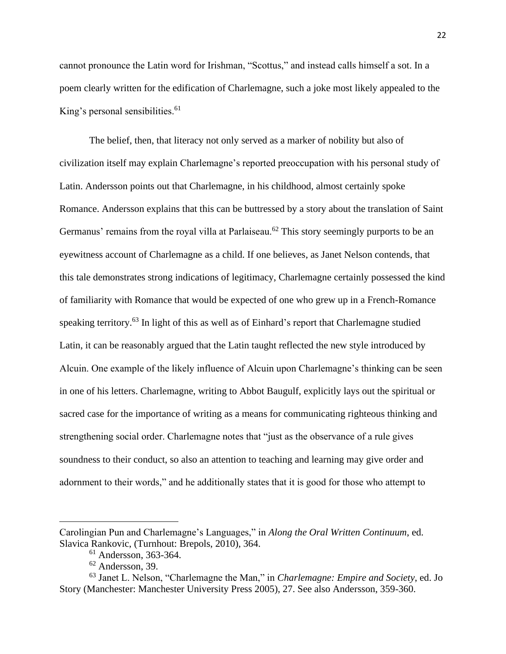cannot pronounce the Latin word for Irishman, "Scottus," and instead calls himself a sot. In a poem clearly written for the edification of Charlemagne, such a joke most likely appealed to the King's personal sensibilities.<sup>61</sup>

The belief, then, that literacy not only served as a marker of nobility but also of civilization itself may explain Charlemagne's reported preoccupation with his personal study of Latin. Andersson points out that Charlemagne, in his childhood, almost certainly spoke Romance. Andersson explains that this can be buttressed by a story about the translation of Saint Germanus' remains from the royal villa at Parlaiseau.<sup>62</sup> This story seemingly purports to be an eyewitness account of Charlemagne as a child. If one believes, as Janet Nelson contends, that this tale demonstrates strong indications of legitimacy, Charlemagne certainly possessed the kind of familiarity with Romance that would be expected of one who grew up in a French-Romance speaking territory.<sup>63</sup> In light of this as well as of Einhard's report that Charlemagne studied Latin, it can be reasonably argued that the Latin taught reflected the new style introduced by Alcuin. One example of the likely influence of Alcuin upon Charlemagne's thinking can be seen in one of his letters. Charlemagne, writing to Abbot Baugulf, explicitly lays out the spiritual or sacred case for the importance of writing as a means for communicating righteous thinking and strengthening social order. Charlemagne notes that "just as the observance of a rule gives soundness to their conduct, so also an attention to teaching and learning may give order and adornment to their words," and he additionally states that it is good for those who attempt to

Carolingian Pun and Charlemagne's Languages," in *Along the Oral Written Continuum*, ed. Slavica Rankovic, (Turnhout: Brepols, 2010), 364.

<sup>61</sup> Andersson, 363-364.

 $62$  Andersson, 39.

<sup>63</sup> Janet L. Nelson, "Charlemagne the Man," in *Charlemagne: Empire and Society*, ed. Jo Story (Manchester: Manchester University Press 2005), 27. See also Andersson, 359-360.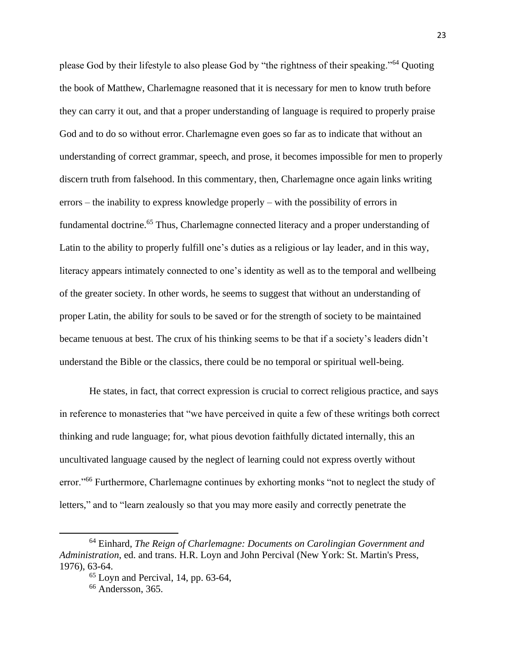please God by their lifestyle to also please God by "the rightness of their speaking."<sup>64</sup> Quoting the book of Matthew, Charlemagne reasoned that it is necessary for men to know truth before they can carry it out, and that a proper understanding of language is required to properly praise God and to do so without error. Charlemagne even goes so far as to indicate that without an understanding of correct grammar, speech, and prose, it becomes impossible for men to properly discern truth from falsehood. In this commentary, then, Charlemagne once again links writing errors – the inability to express knowledge properly – with the possibility of errors in fundamental doctrine.<sup>65</sup> Thus, Charlemagne connected literacy and a proper understanding of Latin to the ability to properly fulfill one's duties as a religious or lay leader, and in this way, literacy appears intimately connected to one's identity as well as to the temporal and wellbeing of the greater society. In other words, he seems to suggest that without an understanding of proper Latin, the ability for souls to be saved or for the strength of society to be maintained became tenuous at best. The crux of his thinking seems to be that if a society's leaders didn't understand the Bible or the classics, there could be no temporal or spiritual well-being.

He states, in fact, that correct expression is crucial to correct religious practice, and says in reference to monasteries that "we have perceived in quite a few of these writings both correct thinking and rude language; for, what pious devotion faithfully dictated internally, this an uncultivated language caused by the neglect of learning could not express overtly without error."<sup>66</sup> Furthermore, Charlemagne continues by exhorting monks "not to neglect the study of letters," and to "learn zealously so that you may more easily and correctly penetrate the

<sup>64</sup> Einhard, *The Reign of Charlemagne: Documents on Carolingian Government and Administration*, ed. and trans. H.R. Loyn and John Percival (New York: St. Martin's Press, 1976), 63-64.

 $65$  Loyn and Percival, 14, pp. 63-64,

 $66$  Andersson, 365.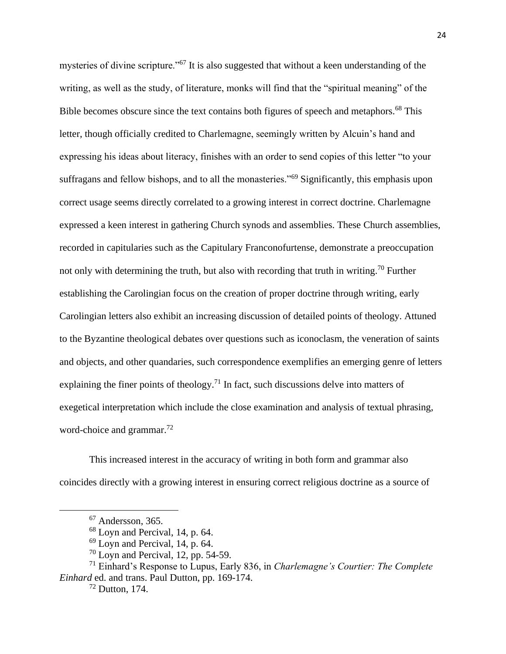mysteries of divine scripture."<sup>67</sup> It is also suggested that without a keen understanding of the writing, as well as the study, of literature, monks will find that the "spiritual meaning" of the Bible becomes obscure since the text contains both figures of speech and metaphors.<sup>68</sup> This letter, though officially credited to Charlemagne, seemingly written by Alcuin's hand and expressing his ideas about literacy, finishes with an order to send copies of this letter "to your suffragans and fellow bishops, and to all the monasteries."<sup>69</sup> Significantly, this emphasis upon correct usage seems directly correlated to a growing interest in correct doctrine. Charlemagne expressed a keen interest in gathering Church synods and assemblies. These Church assemblies, recorded in capitularies such as the Capitulary Franconofurtense, demonstrate a preoccupation not only with determining the truth, but also with recording that truth in writing.<sup>70</sup> Further establishing the Carolingian focus on the creation of proper doctrine through writing, early Carolingian letters also exhibit an increasing discussion of detailed points of theology. Attuned to the Byzantine theological debates over questions such as iconoclasm, the veneration of saints and objects, and other quandaries, such correspondence exemplifies an emerging genre of letters explaining the finer points of theology.<sup>71</sup> In fact, such discussions delve into matters of exegetical interpretation which include the close examination and analysis of textual phrasing, word-choice and grammar.<sup>72</sup>

This increased interest in the accuracy of writing in both form and grammar also coincides directly with a growing interest in ensuring correct religious doctrine as a source of

<sup>67</sup> Andersson, 365.

<sup>68</sup> Loyn and Percival, 14, p. 64.

 $69$  Loyn and Percival, 14, p. 64.

 $70$  Loyn and Percival, 12, pp. 54-59.

<sup>71</sup> Einhard's Response to Lupus, Early 836, in *Charlemagne's Courtier: The Complete Einhard* ed. and trans. Paul Dutton, pp. 169-174.

 $72$  Dutton, 174.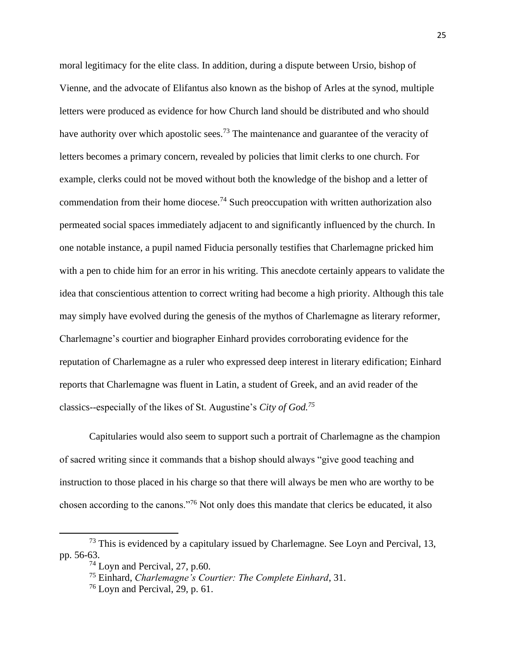moral legitimacy for the elite class. In addition, during a dispute between Ursio, bishop of Vienne, and the advocate of Elifantus also known as the bishop of Arles at the synod, multiple letters were produced as evidence for how Church land should be distributed and who should have authority over which apostolic sees.<sup>73</sup> The maintenance and guarantee of the veracity of letters becomes a primary concern, revealed by policies that limit clerks to one church. For example, clerks could not be moved without both the knowledge of the bishop and a letter of commendation from their home diocese.<sup>74</sup> Such preoccupation with written authorization also permeated social spaces immediately adjacent to and significantly influenced by the church. In one notable instance, a pupil named Fiducia personally testifies that Charlemagne pricked him with a pen to chide him for an error in his writing. This anecdote certainly appears to validate the idea that conscientious attention to correct writing had become a high priority. Although this tale may simply have evolved during the genesis of the mythos of Charlemagne as literary reformer, Charlemagne's courtier and biographer Einhard provides corroborating evidence for the reputation of Charlemagne as a ruler who expressed deep interest in literary edification; Einhard reports that Charlemagne was fluent in Latin, a student of Greek, and an avid reader of the classics--especially of the likes of St. Augustine's *City of God.<sup>75</sup>*

Capitularies would also seem to support such a portrait of Charlemagne as the champion of sacred writing since it commands that a bishop should always "give good teaching and instruction to those placed in his charge so that there will always be men who are worthy to be chosen according to the canons."<sup>76</sup> Not only does this mandate that clerics be educated, it also

 $^{73}$  This is evidenced by a capitulary issued by Charlemagne. See Loyn and Percival, 13, pp. 56-63.

 $74$  Loyn and Percival, 27, p.60.

<sup>75</sup> Einhard, *Charlemagne's Courtier: The Complete Einhard*, 31.

 $76$  Loyn and Percival, 29, p. 61.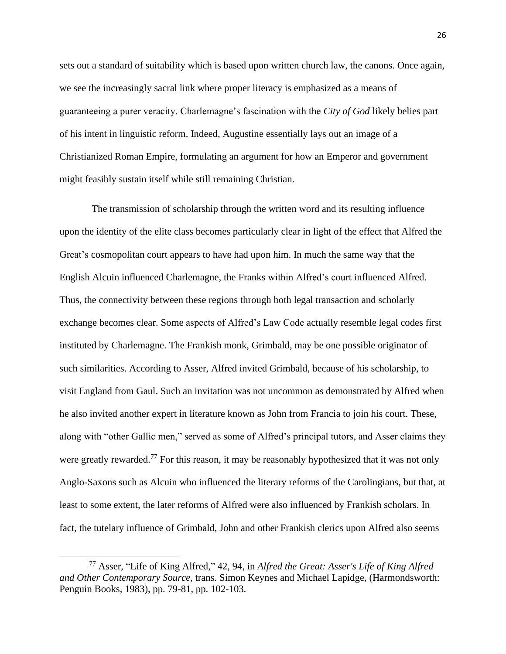sets out a standard of suitability which is based upon written church law, the canons. Once again, we see the increasingly sacral link where proper literacy is emphasized as a means of guaranteeing a purer veracity. Charlemagne's fascination with the *City of God* likely belies part of his intent in linguistic reform. Indeed, Augustine essentially lays out an image of a Christianized Roman Empire, formulating an argument for how an Emperor and government might feasibly sustain itself while still remaining Christian.

The transmission of scholarship through the written word and its resulting influence upon the identity of the elite class becomes particularly clear in light of the effect that Alfred the Great's cosmopolitan court appears to have had upon him. In much the same way that the English Alcuin influenced Charlemagne, the Franks within Alfred's court influenced Alfred. Thus, the connectivity between these regions through both legal transaction and scholarly exchange becomes clear. Some aspects of Alfred's Law Code actually resemble legal codes first instituted by Charlemagne. The Frankish monk, Grimbald, may be one possible originator of such similarities. According to Asser, Alfred invited Grimbald, because of his scholarship, to visit England from Gaul. Such an invitation was not uncommon as demonstrated by Alfred when he also invited another expert in literature known as John from Francia to join his court. These, along with "other Gallic men," served as some of Alfred's principal tutors, and Asser claims they were greatly rewarded.<sup>77</sup> For this reason, it may be reasonably hypothesized that it was not only Anglo-Saxons such as Alcuin who influenced the literary reforms of the Carolingians, but that, at least to some extent, the later reforms of Alfred were also influenced by Frankish scholars. In fact, the tutelary influence of Grimbald, John and other Frankish clerics upon Alfred also seems

<sup>77</sup> Asser, "Life of King Alfred," 42, 94, in *Alfred the Great: Asser's Life of King Alfred and Other Contemporary Source*, trans. Simon Keynes and Michael Lapidge, (Harmondsworth: Penguin Books, 1983), pp. 79-81, pp. 102-103.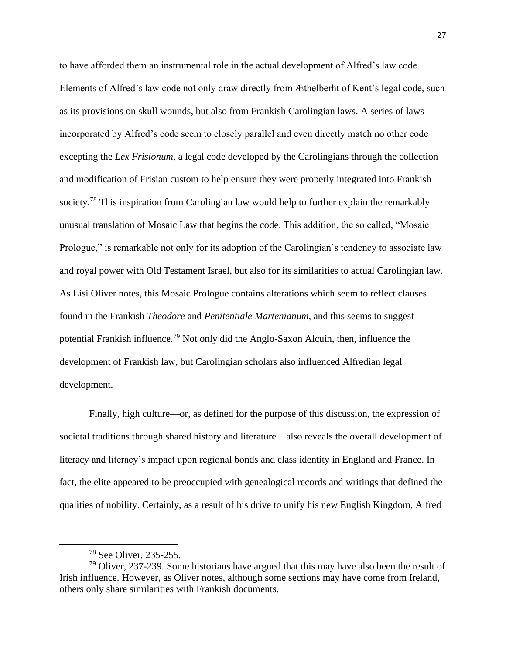to have afforded them an instrumental role in the actual development of Alfred's law code. Elements of Alfred's law code not only draw directly from Æthelberht of Kent's legal code, such as its provisions on skull wounds, but also from Frankish Carolingian laws. A series of laws incorporated by Alfred's code seem to closely parallel and even directly match no other code excepting the *Lex Frisionum*, a legal code developed by the Carolingians through the collection and modification of Frisian custom to help ensure they were properly integrated into Frankish society.<sup>78</sup> This inspiration from Carolingian law would help to further explain the remarkably unusual translation of Mosaic Law that begins the code. This addition, the so called, "Mosaic Prologue," is remarkable not only for its adoption of the Carolingian's tendency to associate law and royal power with Old Testament Israel, but also for its similarities to actual Carolingian law. As Lisi Oliver notes, this Mosaic Prologue contains alterations which seem to reflect clauses found in the Frankish *Theodore* and *Penitentiale Martenianum*, and this seems to suggest potential Frankish influence.<sup>79</sup> Not only did the Anglo-Saxon Alcuin, then, influence the development of Frankish law, but Carolingian scholars also influenced Alfredian legal development.

Finally, high culture—or, as defined for the purpose of this discussion, the expression of societal traditions through shared history and literature—also reveals the overall development of literacy and literacy's impact upon regional bonds and class identity in England and France. In fact, the elite appeared to be preoccupied with genealogical records and writings that defined the qualities of nobility. Certainly, as a result of his drive to unify his new English Kingdom, Alfred

<sup>78</sup> See Oliver, 235-255.

 $79$  Oliver, 237-239. Some historians have argued that this may have also been the result of Irish influence. However, as Oliver notes, although some sections may have come from Ireland, others only share similarities with Frankish documents.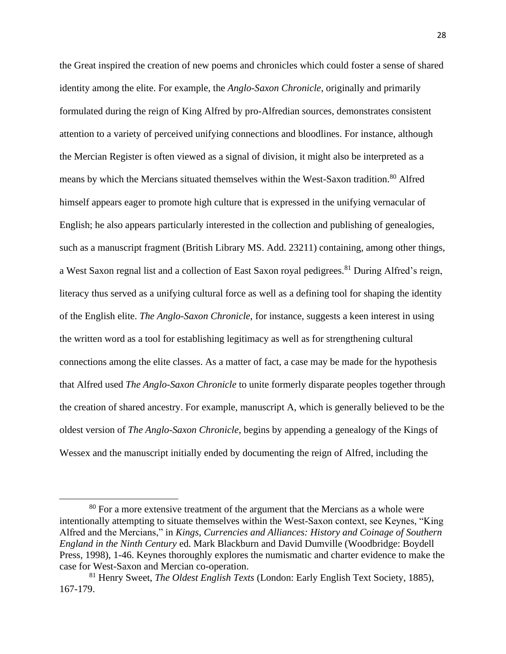the Great inspired the creation of new poems and chronicles which could foster a sense of shared identity among the elite. For example, the *Anglo-Saxon Chronicle*, originally and primarily formulated during the reign of King Alfred by pro-Alfredian sources, demonstrates consistent attention to a variety of perceived unifying connections and bloodlines. For instance, although the Mercian Register is often viewed as a signal of division, it might also be interpreted as a means by which the Mercians situated themselves within the West-Saxon tradition.<sup>80</sup> Alfred himself appears eager to promote high culture that is expressed in the unifying vernacular of English; he also appears particularly interested in the collection and publishing of genealogies, such as a manuscript fragment (British Library MS. Add. 23211) containing, among other things, a West Saxon regnal list and a collection of East Saxon royal pedigrees.<sup>81</sup> During Alfred's reign, literacy thus served as a unifying cultural force as well as a defining tool for shaping the identity of the English elite. *The Anglo-Saxon Chronicle*, for instance, suggests a keen interest in using the written word as a tool for establishing legitimacy as well as for strengthening cultural connections among the elite classes. As a matter of fact, a case may be made for the hypothesis that Alfred used *The Anglo-Saxon Chronicle* to unite formerly disparate peoples together through the creation of shared ancestry. For example, manuscript A, which is generally believed to be the oldest version of *The Anglo-Saxon Chronicle*, begins by appending a genealogy of the Kings of Wessex and the manuscript initially ended by documenting the reign of Alfred, including the

 $80$  For a more extensive treatment of the argument that the Mercians as a whole were intentionally attempting to situate themselves within the West-Saxon context, see Keynes, "King Alfred and the Mercians," in *Kings, Currencies and Alliances: History and Coinage of Southern England in the Ninth Century* ed. Mark Blackburn and David Dumville (Woodbridge: Boydell Press, 1998), 1-46. Keynes thoroughly explores the numismatic and charter evidence to make the case for West-Saxon and Mercian co-operation.

<sup>81</sup> Henry Sweet, *The Oldest English Texts* (London: Early English Text Society, 1885), 167-179.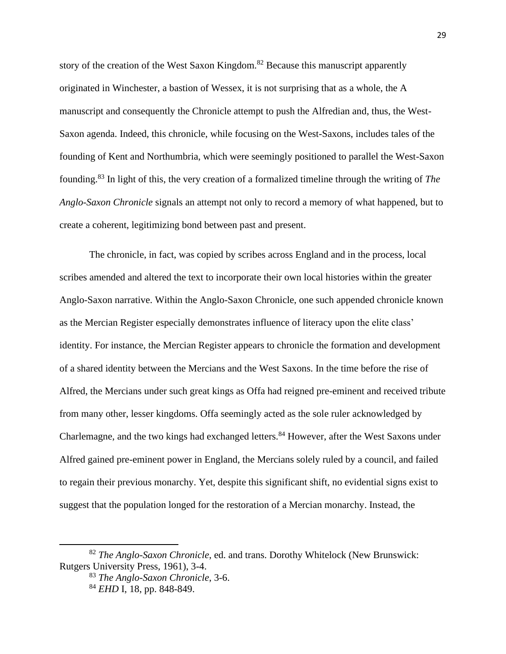story of the creation of the West Saxon Kingdom.<sup>82</sup> Because this manuscript apparently originated in Winchester, a bastion of Wessex, it is not surprising that as a whole, the A manuscript and consequently the Chronicle attempt to push the Alfredian and, thus, the West-Saxon agenda. Indeed, this chronicle, while focusing on the West-Saxons, includes tales of the founding of Kent and Northumbria, which were seemingly positioned to parallel the West-Saxon founding.<sup>83</sup> In light of this, the very creation of a formalized timeline through the writing of *The Anglo-Saxon Chronicle* signals an attempt not only to record a memory of what happened, but to create a coherent, legitimizing bond between past and present.

The chronicle, in fact, was copied by scribes across England and in the process, local scribes amended and altered the text to incorporate their own local histories within the greater Anglo-Saxon narrative. Within the Anglo-Saxon Chronicle, one such appended chronicle known as the Mercian Register especially demonstrates influence of literacy upon the elite class' identity. For instance, the Mercian Register appears to chronicle the formation and development of a shared identity between the Mercians and the West Saxons. In the time before the rise of Alfred, the Mercians under such great kings as Offa had reigned pre-eminent and received tribute from many other, lesser kingdoms. Offa seemingly acted as the sole ruler acknowledged by Charlemagne, and the two kings had exchanged letters.<sup>84</sup> However, after the West Saxons under Alfred gained pre-eminent power in England, the Mercians solely ruled by a council, and failed to regain their previous monarchy. Yet, despite this significant shift, no evidential signs exist to suggest that the population longed for the restoration of a Mercian monarchy. Instead, the

<sup>82</sup> *The Anglo-Saxon Chronicle*, ed. and trans. Dorothy Whitelock (New Brunswick: Rutgers University Press, 1961), 3-4.

<sup>83</sup> *The Anglo-Saxon Chronicle*, 3-6.

<sup>84</sup> *EHD* I, 18, pp. 848-849.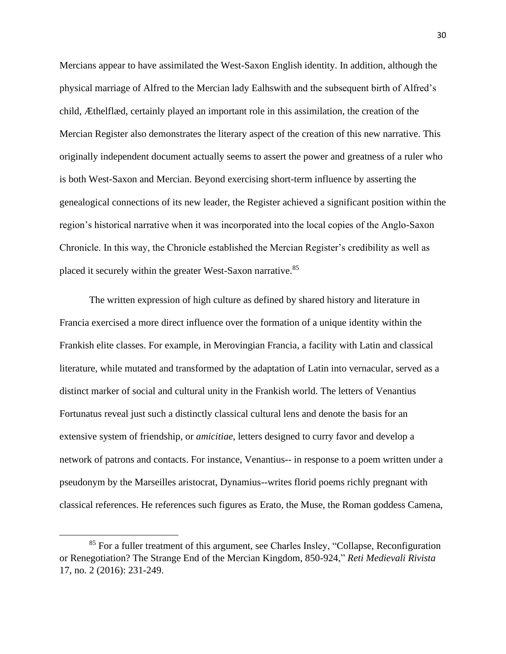Mercians appear to have assimilated the West-Saxon English identity. In addition, although the physical marriage of Alfred to the Mercian lady Ealhswith and the subsequent birth of Alfred's child, Æthelflæd, certainly played an important role in this assimilation, the creation of the Mercian Register also demonstrates the literary aspect of the creation of this new narrative. This originally independent document actually seems to assert the power and greatness of a ruler who is both West-Saxon and Mercian. Beyond exercising short-term influence by asserting the genealogical connections of its new leader, the Register achieved a significant position within the region's historical narrative when it was incorporated into the local copies of the Anglo-Saxon Chronicle. In this way, the Chronicle established the Mercian Register's credibility as well as placed it securely within the greater West-Saxon narrative.<sup>85</sup>

The written expression of high culture as defined by shared history and literature in Francia exercised a more direct influence over the formation of a unique identity within the Frankish elite classes. For example, in Merovingian Francia, a facility with Latin and classical literature, while mutated and transformed by the adaptation of Latin into vernacular, served as a distinct marker of social and cultural unity in the Frankish world. The letters of Venantius Fortunatus reveal just such a distinctly classical cultural lens and denote the basis for an extensive system of friendship, or *amicitiae*, letters designed to curry favor and develop a network of patrons and contacts. For instance, Venantius-- in response to a poem written under a pseudonym by the Marseilles aristocrat, Dynamius--writes florid poems richly pregnant with classical references. He references such figures as Erato, the Muse, the Roman goddess Camena,

<sup>&</sup>lt;sup>85</sup> For a fuller treatment of this argument, see Charles Insley, "Collapse, Reconfiguration" or Renegotiation? The Strange End of the Mercian Kingdom, 850-924," *Reti Medievali Rivista* 17, no. 2 (2016): 231-249.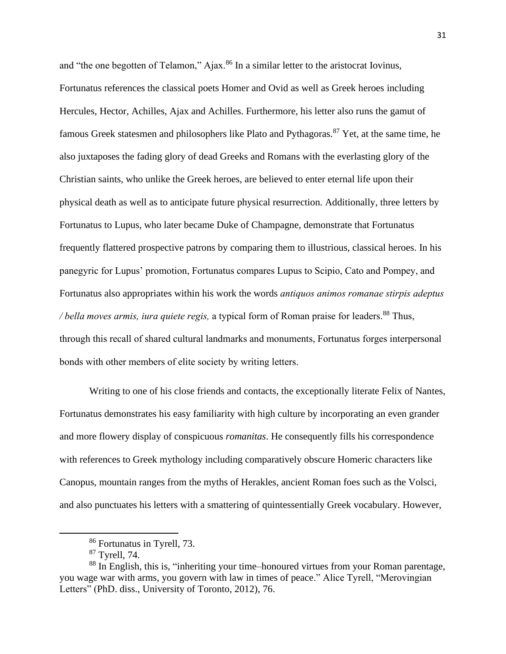and "the one begotten of Telamon," Ajax.<sup>86</sup> In a similar letter to the aristocrat Iovinus, Fortunatus references the classical poets Homer and Ovid as well as Greek heroes including Hercules, Hector, Achilles, Ajax and Achilles. Furthermore, his letter also runs the gamut of famous Greek statesmen and philosophers like Plato and Pythagoras.<sup>87</sup> Yet, at the same time, he also juxtaposes the fading glory of dead Greeks and Romans with the everlasting glory of the Christian saints, who unlike the Greek heroes, are believed to enter eternal life upon their physical death as well as to anticipate future physical resurrection. Additionally, three letters by Fortunatus to Lupus, who later became Duke of Champagne, demonstrate that Fortunatus frequently flattered prospective patrons by comparing them to illustrious, classical heroes. In his panegyric for Lupus' promotion, Fortunatus compares Lupus to Scipio, Cato and Pompey, and Fortunatus also appropriates within his work the words *antiquos animos romanae stirpis adeptus / bella moves armis, iura quiete regis, a typical form of Roman praise for leaders.*<sup>88</sup> Thus, through this recall of shared cultural landmarks and monuments, Fortunatus forges interpersonal bonds with other members of elite society by writing letters.

Writing to one of his close friends and contacts, the exceptionally literate Felix of Nantes, Fortunatus demonstrates his easy familiarity with high culture by incorporating an even grander and more flowery display of conspicuous *romanitas*. He consequently fills his correspondence with references to Greek mythology including comparatively obscure Homeric characters like Canopus, mountain ranges from the myths of Herakles, ancient Roman foes such as the Volsci, and also punctuates his letters with a smattering of quintessentially Greek vocabulary. However,

<sup>86</sup> Fortunatus in Tyrell, 73.

<sup>87</sup> Tyrell, 74.

<sup>88</sup> In English, this is, "inheriting your time–honoured virtues from your Roman parentage, you wage war with arms, you govern with law in times of peace." Alice Tyrell, "Merovingian Letters" (PhD. diss., University of Toronto, 2012), 76.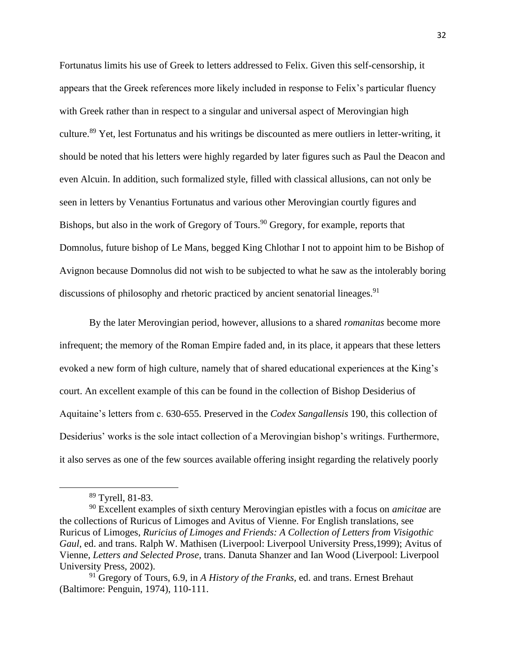Fortunatus limits his use of Greek to letters addressed to Felix. Given this self-censorship, it appears that the Greek references more likely included in response to Felix's particular fluency with Greek rather than in respect to a singular and universal aspect of Merovingian high culture.<sup>89</sup> Yet, lest Fortunatus and his writings be discounted as mere outliers in letter-writing, it should be noted that his letters were highly regarded by later figures such as Paul the Deacon and even Alcuin. In addition, such formalized style, filled with classical allusions, can not only be seen in letters by Venantius Fortunatus and various other Merovingian courtly figures and Bishops, but also in the work of Gregory of Tours.<sup>90</sup> Gregory, for example, reports that Domnolus, future bishop of Le Mans, begged King Chlothar I not to appoint him to be Bishop of Avignon because Domnolus did not wish to be subjected to what he saw as the intolerably boring discussions of philosophy and rhetoric practiced by ancient senatorial lineages.<sup>91</sup>

By the later Merovingian period, however, allusions to a shared *romanitas* become more infrequent; the memory of the Roman Empire faded and, in its place, it appears that these letters evoked a new form of high culture, namely that of shared educational experiences at the King's court. An excellent example of this can be found in the collection of Bishop Desiderius of Aquitaine's letters from c. 630-655. Preserved in the *Codex Sangallensis* 190, this collection of Desiderius' works is the sole intact collection of a Merovingian bishop's writings. Furthermore, it also serves as one of the few sources available offering insight regarding the relatively poorly

<sup>89</sup> Tyrell, 81-83.

<sup>90</sup> Excellent examples of sixth century Merovingian epistles with a focus on *amicitae* are the collections of Ruricus of Limoges and Avitus of Vienne. For English translations, see Ruricus of Limoges, *Ruricius of Limoges and Friends: A Collection of Letters from Visigothic Gaul*, ed. and trans. Ralph W. Mathisen (Liverpool: Liverpool University Press,1999); Avitus of Vienne, *Letters and Selected Prose,* trans. Danuta Shanzer and Ian Wood (Liverpool: Liverpool University Press, 2002).

<sup>&</sup>lt;sup>91</sup> Gregory of Tours, 6.9, in *A History of the Franks*, ed. and trans. Ernest Brehaut (Baltimore: Penguin, 1974), 110-111.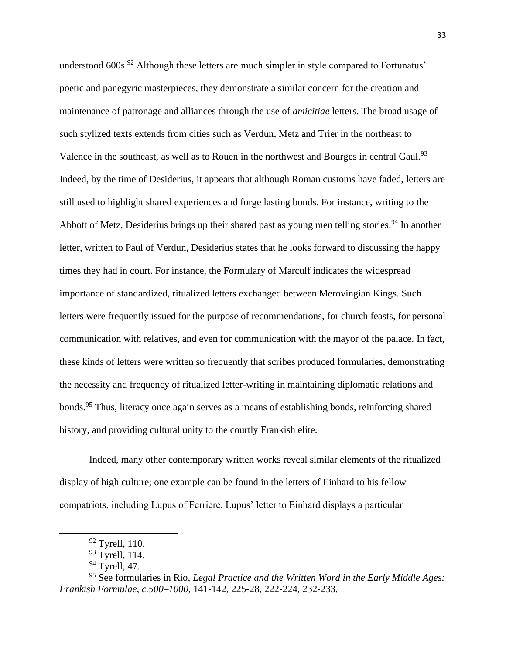understood 600s.<sup>92</sup> Although these letters are much simpler in style compared to Fortunatus' poetic and panegyric masterpieces, they demonstrate a similar concern for the creation and maintenance of patronage and alliances through the use of *amicitiae* letters. The broad usage of such stylized texts extends from cities such as Verdun, Metz and Trier in the northeast to Valence in the southeast, as well as to Rouen in the northwest and Bourges in central Gaul.<sup>93</sup> Indeed, by the time of Desiderius, it appears that although Roman customs have faded, letters are still used to highlight shared experiences and forge lasting bonds. For instance, writing to the Abbott of Metz, Desiderius brings up their shared past as young men telling stories.<sup>94</sup> In another letter, written to Paul of Verdun, Desiderius states that he looks forward to discussing the happy times they had in court. For instance, the Formulary of Marculf indicates the widespread importance of standardized, ritualized letters exchanged between Merovingian Kings. Such letters were frequently issued for the purpose of recommendations, for church feasts, for personal communication with relatives, and even for communication with the mayor of the palace. In fact, these kinds of letters were written so frequently that scribes produced formularies, demonstrating the necessity and frequency of ritualized letter-writing in maintaining diplomatic relations and bonds.<sup>95</sup> Thus, literacy once again serves as a means of establishing bonds, reinforcing shared history, and providing cultural unity to the courtly Frankish elite.

Indeed, many other contemporary written works reveal similar elements of the ritualized display of high culture; one example can be found in the letters of Einhard to his fellow compatriots, including Lupus of Ferriere. Lupus' letter to Einhard displays a particular

 $92$  Tyrell, 110.

<sup>&</sup>lt;sup>93</sup> Tyrell, 114.

 $94$  Tyrell, 47.

<sup>95</sup> See formularies in Rio, *Legal Practice and the Written Word in the Early Middle Ages: Frankish Formulae, c.500–1000,* 141-142, 225-28, 222-224, 232-233.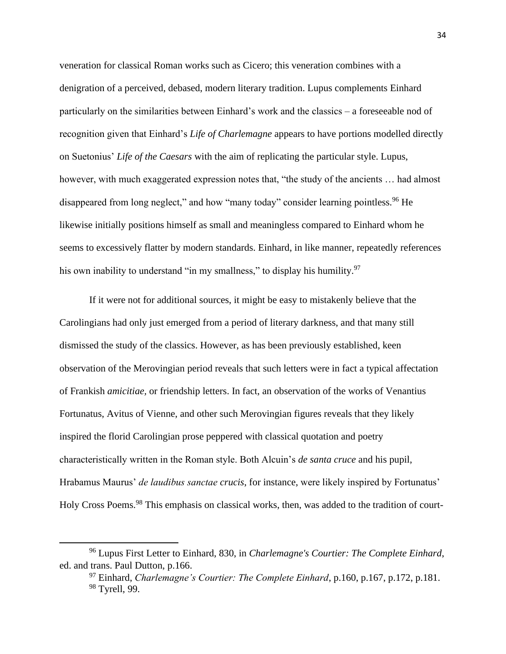veneration for classical Roman works such as Cicero; this veneration combines with a denigration of a perceived, debased, modern literary tradition. Lupus complements Einhard particularly on the similarities between Einhard's work and the classics – a foreseeable nod of recognition given that Einhard's *Life of Charlemagne* appears to have portions modelled directly on Suetonius' *Life of the Caesars* with the aim of replicating the particular style. Lupus, however, with much exaggerated expression notes that, "the study of the ancients ... had almost disappeared from long neglect," and how "many today" consider learning pointless.<sup>96</sup> He likewise initially positions himself as small and meaningless compared to Einhard whom he seems to excessively flatter by modern standards. Einhard, in like manner, repeatedly references his own inability to understand "in my smallness," to display his humility.<sup>97</sup>

If it were not for additional sources, it might be easy to mistakenly believe that the Carolingians had only just emerged from a period of literary darkness, and that many still dismissed the study of the classics. However, as has been previously established, keen observation of the Merovingian period reveals that such letters were in fact a typical affectation of Frankish *amicitiae,* or friendship letters. In fact, an observation of the works of Venantius Fortunatus, Avitus of Vienne, and other such Merovingian figures reveals that they likely inspired the florid Carolingian prose peppered with classical quotation and poetry characteristically written in the Roman style. Both Alcuin's *de santa cruce* and his pupil, Hrabamus Maurus' *de laudibus sanctae crucis*, for instance, were likely inspired by Fortunatus' Holy Cross Poems.<sup>98</sup> This emphasis on classical works, then, was added to the tradition of court-

<sup>96</sup> Lupus First Letter to Einhard, 830, in *Charlemagne's Courtier: The Complete Einhard*, ed. and trans. Paul Dutton, p.166.

<sup>97</sup> Einhard, *Charlemagne's Courtier: The Complete Einhard*, p.160, p.167, p.172, p.181. <sup>98</sup> Tyrell, 99.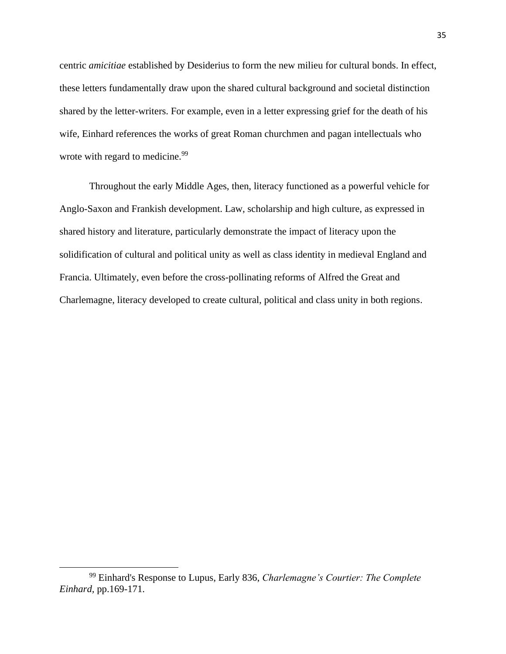centric *amicitiae* established by Desiderius to form the new milieu for cultural bonds. In effect, these letters fundamentally draw upon the shared cultural background and societal distinction shared by the letter-writers. For example, even in a letter expressing grief for the death of his wife, Einhard references the works of great Roman churchmen and pagan intellectuals who wrote with regard to medicine.<sup>99</sup>

Throughout the early Middle Ages, then, literacy functioned as a powerful vehicle for Anglo-Saxon and Frankish development. Law, scholarship and high culture, as expressed in shared history and literature, particularly demonstrate the impact of literacy upon the solidification of cultural and political unity as well as class identity in medieval England and Francia. Ultimately, even before the cross-pollinating reforms of Alfred the Great and Charlemagne, literacy developed to create cultural, political and class unity in both regions.

<sup>99</sup> Einhard's Response to Lupus, Early 836, *Charlemagne's Courtier: The Complete Einhard,* pp.169-171.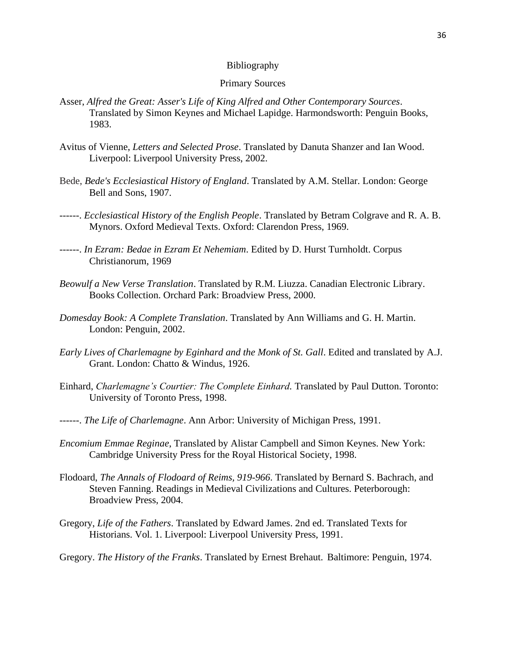#### Bibliography

### Primary Sources

- Asser, *Alfred the Great: Asser's Life of King Alfred and Other Contemporary Sources*. Translated by Simon Keynes and Michael Lapidge. Harmondsworth: Penguin Books, 1983.
- Avitus of Vienne, *Letters and Selected Prose*. Translated by Danuta Shanzer and Ian Wood. Liverpool: Liverpool University Press, 2002.
- Bede, *Bede's Ecclesiastical History of England*. Translated by A.M. Stellar. London: George Bell and Sons, 1907.
- ------. *Ecclesiastical History of the English People*. Translated by Betram Colgrave and R. A. B. Mynors. Oxford Medieval Texts. Oxford: Clarendon Press, 1969.
- ------. *In Ezram: Bedae in Ezram Et Nehemiam*. Edited by D. Hurst Turnholdt. Corpus Christianorum, 1969
- *Beowulf a New Verse Translation*. Translated by R.M. Liuzza. Canadian Electronic Library. Books Collection. Orchard Park: Broadview Press, 2000.
- *Domesday Book: A Complete Translation*. Translated by Ann Williams and G. H. Martin. London: Penguin, 2002.
- *Early Lives of Charlemagne by Eginhard and the Monk of St. Gall*. Edited and translated by A.J. Grant. London: Chatto & Windus, 1926.
- Einhard, *Charlemagne's Courtier: The Complete Einhard.* Translated by Paul Dutton. Toronto: University of Toronto Press, 1998.
- ------. *The Life of Charlemagne*. Ann Arbor: University of Michigan Press, 1991.
- *Encomium Emmae Reginae*, Translated by Alistar Campbell and Simon Keynes. New York: Cambridge University Press for the Royal Historical Society, 1998.
- Flodoard, *The Annals of Flodoard of Reims, 919-966*. Translated by Bernard S. Bachrach, and Steven Fanning. Readings in Medieval Civilizations and Cultures. Peterborough: Broadview Press, 2004.
- Gregory, *Life of the Fathers*. Translated by Edward James. 2nd ed. Translated Texts for Historians. Vol. 1. Liverpool: Liverpool University Press, 1991.
- Gregory. *The History of the Franks*. Translated by Ernest Brehaut. Baltimore: Penguin, 1974.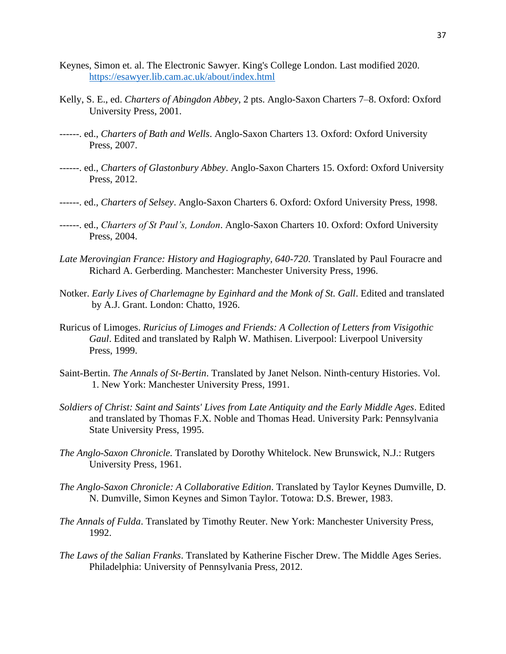- Keynes, Simon et. al. The Electronic Sawyer. King's College London. Last modified 2020. <https://esawyer.lib.cam.ac.uk/about/index.html>
- Kelly, S. E., ed. *Charters of Abingdon Abbey*, 2 pts. Anglo-Saxon Charters 7–8. Oxford: Oxford University Press, 2001.
- ------. ed., *Charters of Bath and Wells*. Anglo-Saxon Charters 13. Oxford: Oxford University Press, 2007.
- ------. ed., *Charters of Glastonbury Abbey*. Anglo-Saxon Charters 15. Oxford: Oxford University Press, 2012.
- ------. ed., *Charters of Selsey*. Anglo-Saxon Charters 6. Oxford: Oxford University Press, 1998.
- ------. ed., *Charters of St Paul's, London*. Anglo-Saxon Charters 10. Oxford: Oxford University Press, 2004.
- *Late Merovingian France: History and Hagiography, 640-720*. Translated by Paul Fouracre and Richard A. Gerberding. Manchester: Manchester University Press, 1996.
- Notker. *Early Lives of Charlemagne by Eginhard and the Monk of St. Gall.* Edited and translated by A.J. Grant. London: Chatto, 1926.
- Ruricus of Limoges. *Ruricius of Limoges and Friends: A Collection of Letters from Visigothic Gaul*. Edited and translated by Ralph W. Mathisen. Liverpool: Liverpool University Press, 1999.
- Saint-Bertin. *The Annals of St-Bertin*. Translated by Janet Nelson. Ninth-century Histories. Vol. 1. New York: Manchester University Press, 1991.
- *Soldiers of Christ: Saint and Saints' Lives from Late Antiquity and the Early Middle Ages*. Edited and translated by Thomas F.X. Noble and Thomas Head. University Park: Pennsylvania State University Press, 1995.
- *The Anglo-Saxon Chronicle.* Translated by Dorothy Whitelock. New Brunswick, N.J.: Rutgers University Press, 1961.
- *The Anglo-Saxon Chronicle: A Collaborative Edition*. Translated by Taylor Keynes Dumville, D. N. Dumville, Simon Keynes and Simon Taylor. Totowa: D.S. Brewer, 1983.
- *The Annals of Fulda*. Translated by Timothy Reuter. New York: Manchester University Press, 1992.
- *The Laws of the Salian Franks*. Translated by Katherine Fischer Drew. The Middle Ages Series. Philadelphia: University of Pennsylvania Press, 2012.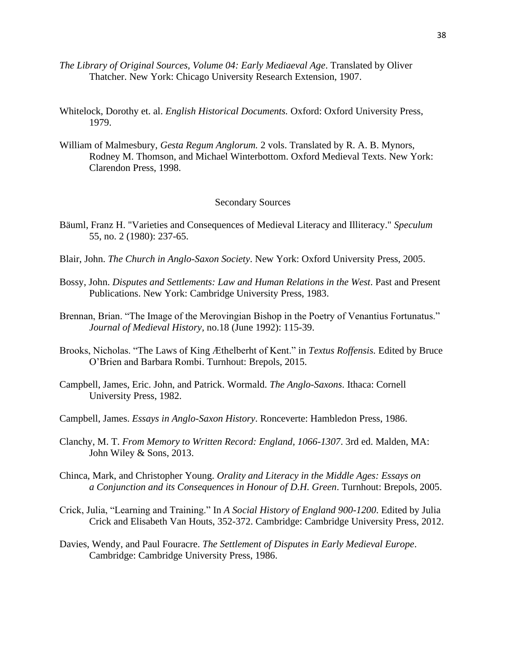- *The Library of Original Sources, Volume 04: Early Mediaeval Age*. Translated by Oliver Thatcher. New York: Chicago University Research Extension, 1907.
- Whitelock, Dorothy et. al. *English Historical Documents.* Oxford: Oxford University Press, 1979.
- William of Malmesbury, *Gesta Regum Anglorum.* 2 vols. Translated by R. A. B. Mynors, Rodney M. Thomson, and Michael Winterbottom. Oxford Medieval Texts. New York: Clarendon Press, 1998.

## Secondary Sources

- Bäuml, Franz H. "Varieties and Consequences of Medieval Literacy and Illiteracy." *Speculum* 55, no. 2 (1980): 237-65.
- Blair, John. *The Church in Anglo-Saxon Society*. New York: Oxford University Press, 2005.
- Bossy, John. *Disputes and Settlements: Law and Human Relations in the West*. Past and Present Publications. New York: Cambridge University Press, 1983.
- Brennan, Brian. "The Image of the Merovingian Bishop in the Poetry of Venantius Fortunatus." *Journal of Medieval History,* no.18 (June 1992): 115-39.
- Brooks, Nicholas. "The Laws of King Æthelberht of Kent." in *Textus Roffensis.* Edited by Bruce O'Brien and Barbara Rombi. Turnhout: Brepols, 2015.
- Campbell, James, Eric. John, and Patrick. Wormald. *The Anglo-Saxons*. Ithaca: Cornell University Press, 1982.
- Campbell, James. *Essays in Anglo-Saxon History*. Ronceverte: Hambledon Press, 1986.
- Clanchy, M. T. *From Memory to Written Record: England, 1066-1307*. 3rd ed. Malden, MA: John Wiley & Sons, 2013.
- Chinca, Mark, and Christopher Young. *Orality and Literacy in the Middle Ages: Essays on a Conjunction and its Consequences in Honour of D.H. Green*. Turnhout: Brepols, 2005.
- Crick, Julia, "Learning and Training." In *A Social History of England 900-1200*. Edited by Julia Crick and Elisabeth Van Houts, 352-372. Cambridge: Cambridge University Press, 2012.
- Davies, Wendy, and Paul Fouracre. *The Settlement of Disputes in Early Medieval Europe*. Cambridge: Cambridge University Press, 1986.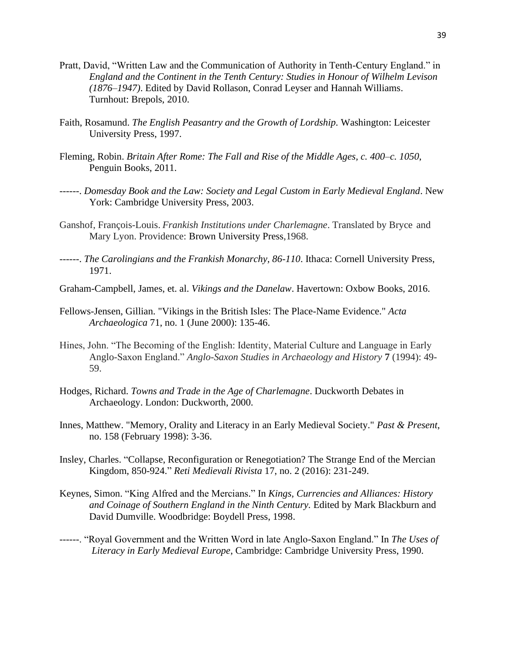- Pratt, David, "Written Law and the Communication of Authority in Tenth-Century England." in *England and the Continent in the Tenth Century: Studies in Honour of Wilhelm Levison (1876–1947)*. Edited by David Rollason, Conrad Leyser and Hannah Williams. Turnhout: Brepols, 2010.
- Faith, Rosamund. *The English Peasantry and the Growth of Lordship.* Washington: Leicester University Press, 1997.
- Fleming, Robin. *Britain After Rome: The Fall and Rise of the Middle Ages, c. 400–c. 1050*, Penguin Books, 2011.
- ------. *Domesday Book and the Law: Society and Legal Custom in Early Medieval England*. New York: Cambridge University Press, 2003.
- Ganshof, François-Louis. *Frankish Institutions under Charlemagne*. Translated by Bryce and Mary Lyon. Providence: Brown University Press,1968.
- ------. *The Carolingians and the Frankish Monarchy, 86-110*. Ithaca: Cornell University Press, 1971.
- Graham-Campbell, James, et. al. *Vikings and the Danelaw*. Havertown: Oxbow Books, 2016.
- Fellows-Jensen, Gillian. "Vikings in the British Isles: The Place-Name Evidence." *Acta Archaeologica* 71, no. 1 (June 2000): 135-46.
- Hines, John. "The Becoming of the English: Identity, Material Culture and Language in Early Anglo-Saxon England." *Anglo-Saxon Studies in Archaeology and History* **7** (1994): 49- 59.
- Hodges, Richard. *Towns and Trade in the Age of Charlemagne*. Duckworth Debates in Archaeology. London: Duckworth, 2000.
- Innes, Matthew. "Memory, Orality and Literacy in an Early Medieval Society." *Past & Present*, no. 158 (February 1998): 3-36.
- Insley, Charles. "Collapse, Reconfiguration or Renegotiation? The Strange End of the Mercian Kingdom, 850-924." *Reti Medievali Rivista* 17, no. 2 (2016): 231-249.
- Keynes, Simon. "King Alfred and the Mercians." In *Kings, Currencies and Alliances: History and Coinage of Southern England in the Ninth Century.* Edited by Mark Blackburn and David Dumville. Woodbridge: Boydell Press, 1998.
- ------. "Royal Government and the Written Word in late Anglo-Saxon England." In *The Uses of Literacy in Early Medieval Europe*, Cambridge: Cambridge University Press, 1990.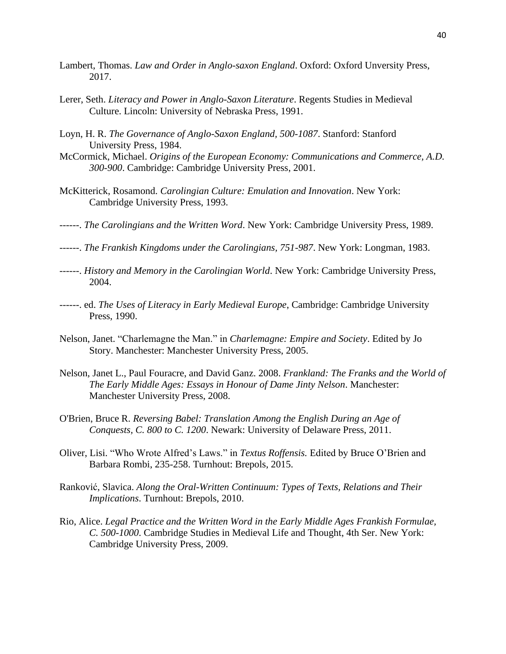- Lambert, Thomas. *Law and Order in Anglo-saxon England*. Oxford: Oxford Unversity Press, 2017.
- Lerer, Seth. *Literacy and Power in Anglo-Saxon Literature*. Regents Studies in Medieval Culture. Lincoln: University of Nebraska Press, 1991.
- Loyn, H. R. *The Governance of Anglo-Saxon England, 500-1087*. Stanford: Stanford University Press, 1984.
- McCormick, Michael. *Origins of the European Economy: Communications and Commerce, A.D. 300-900*. Cambridge: Cambridge University Press, 2001.
- McKitterick, Rosamond. *Carolingian Culture: Emulation and Innovation*. New York: Cambridge University Press, 1993.
- ------. *The Carolingians and the Written Word*. New York: Cambridge University Press, 1989.
- ------. *The Frankish Kingdoms under the Carolingians, 751-987*. New York: Longman, 1983.
- ------. *History and Memory in the Carolingian World*. New York: Cambridge University Press, 2004.
- ------. ed. *The Uses of Literacy in Early Medieval Europe*, Cambridge: Cambridge University Press, 1990.
- Nelson, Janet. "Charlemagne the Man." in *Charlemagne: Empire and Society*. Edited by Jo Story. Manchester: Manchester University Press, 2005.
- Nelson, Janet L., Paul Fouracre, and David Ganz. 2008. *Frankland: The Franks and the World of The Early Middle Ages: Essays in Honour of Dame Jinty Nelson*. Manchester: Manchester University Press, 2008.
- O'Brien, Bruce R. *Reversing Babel: Translation Among the English During an Age of Conquests, C. 800 to C. 1200*. Newark: University of Delaware Press, 2011.
- Oliver, Lisi. "Who Wrote Alfred's Laws." in *Textus Roffensis.* Edited by Bruce O'Brien and Barbara Rombi, 235-258. Turnhout: Brepols, 2015.
- Ranković, Slavica. *Along the Oral-Written Continuum: Types of Texts, Relations and Their Implications*. Turnhout: Brepols, 2010.
- Rio, Alice. *Legal Practice and the Written Word in the Early Middle Ages Frankish Formulae, C. 500-1000*. Cambridge Studies in Medieval Life and Thought, 4th Ser. New York: Cambridge University Press, 2009.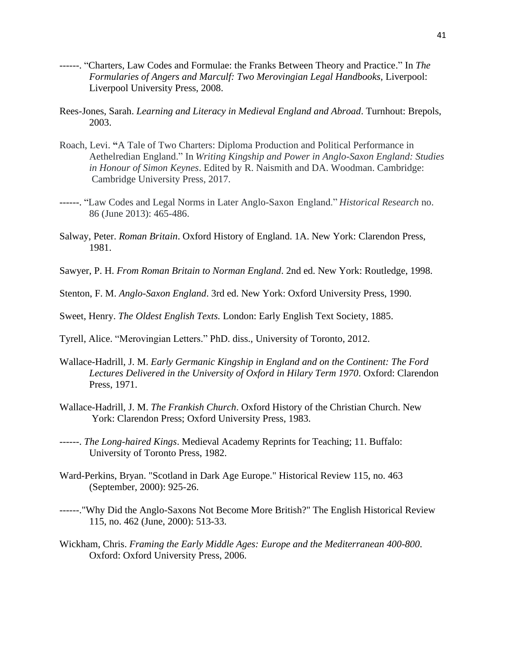- ------. ["Charters, Law Codes and Formulae: the Franks Between Theory and Practice.](https://kclpure.kcl.ac.uk/portal/en/publications/charters-law-codes-and-formulae-the-franks-between-theory-and-practice(f7f3067f-8451-4d6b-ba3c-9a395e4d2ff2).html)" In *[The](https://kclpure.kcl.ac.uk/portal/en/publications/the-formularies-of-angers-and-marculf-two-merovingian-legal-handbooks(b5c1c827-8298-49cc-af5d-1049d4305bf1).html)  [Formularies of Angers and Marculf: Two Merovingian Legal Handbooks,](https://kclpure.kcl.ac.uk/portal/en/publications/the-formularies-of-angers-and-marculf-two-merovingian-legal-handbooks(b5c1c827-8298-49cc-af5d-1049d4305bf1).html)* [Liverpool:](https://kclpure.kcl.ac.uk/portal/en/publications/the-formularies-of-angers-and-marculf-two-merovingian-legal-handbooks(b5c1c827-8298-49cc-af5d-1049d4305bf1).html)  [Liverpool University Press, 2008.](https://kclpure.kcl.ac.uk/portal/en/publications/the-formularies-of-angers-and-marculf-two-merovingian-legal-handbooks(b5c1c827-8298-49cc-af5d-1049d4305bf1).html)
- Rees-Jones, Sarah. *Learning and Literacy in Medieval England and Abroad*. Turnhout: Brepols, 2003.
- Roach, Levi. **"**A Tale of Two Charters: Diploma Production and Political Performance in Aethelredian England." In *Writing Kingship and Power in Anglo-Saxon England: Studies in Honour of Simon Keynes*. Edited by R. Naismith and DA. Woodman. Cambridge: Cambridge University Press, 2017.
- ------. "Law Codes and Legal Norms in Later Anglo-Saxon England." *Historical Research* no. 86 (June 2013): 465-486.
- Salway, Peter. *Roman Britain*. Oxford History of England. 1A. New York: Clarendon Press, 1981.
- Sawyer, P. H. *From Roman Britain to Norman England*. 2nd ed. New York: Routledge, 1998.
- Stenton, F. M. *Anglo-Saxon England*. 3rd ed. New York: Oxford University Press, 1990.
- Sweet, Henry. *The Oldest English Texts.* London: Early English Text Society, 1885.
- Tyrell, Alice. "Merovingian Letters." PhD. diss., University of Toronto, 2012.
- Wallace-Hadrill, J. M. *Early Germanic Kingship in England and on the Continent: The Ford Lectures Delivered in the University of Oxford in Hilary Term 1970*. Oxford: Clarendon Press, 1971.
- Wallace-Hadrill, J. M. *The Frankish Church*. Oxford History of the Christian Church. New York: Clarendon Press; Oxford University Press, 1983.
- ------. *The Long-haired Kings*. Medieval Academy Reprints for Teaching; 11. Buffalo: University of Toronto Press, 1982.
- Ward-Perkins, Bryan. "Scotland in Dark Age Europe." Historical Review 115, no. 463 (September, 2000): 925-26.
- ------."Why Did the Anglo-Saxons Not Become More British?" The English Historical Review 115, no. 462 (June, 2000): 513-33.
- Wickham, Chris. *Framing the Early Middle Ages: Europe and the Mediterranean 400-800*. Oxford: Oxford University Press, 2006.